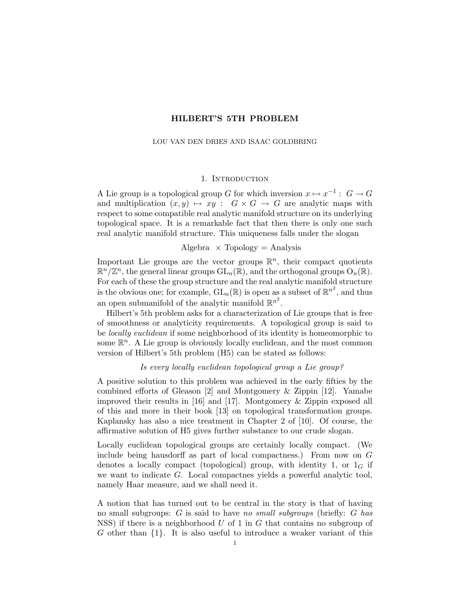# HILBERT'S 5TH PROBLEM

#### LOU VAN DEN DRIES AND ISAAC GOLDBRING

# 1. INTRODUCTION

A Lie group is a topological group G for which inversion  $x \mapsto x^{-1} : G \to G$ and multiplication  $(x, y) \mapsto xy : G \times G \rightarrow G$  are analytic maps with respect to some compatible real analytic manifold structure on its underlying topological space. It is a remarkable fact that then there is only one such real analytic manifold structure. This uniqueness falls under the slogan

Algebra  $\times$  Topology = Analysis

Important Lie groups are the vector groups  $\mathbb{R}^n$ , their compact quotients  $\mathbb{R}^n/\mathbb{Z}^n$ , the general linear groups  $\text{GL}_n(\mathbb{R})$ , and the orthogonal groups  $\text{O}_n(\mathbb{R})$ . For each of these the group structure and the real analytic manifold structure is the obvious one; for example,  $GL_n(\mathbb{R})$  is open as a subset of  $\mathbb{R}^{n^2}$ , and thus an open submanifold of the analytic manifold  $\mathbb{R}^{n^2}$ .

Hilbert's 5th problem asks for a characterization of Lie groups that is free of smoothness or analyticity requirements. A topological group is said to be locally euclidean if some neighborhood of its identity is homeomorphic to some  $\mathbb{R}^n$ . A Lie group is obviously locally euclidean, and the most common version of Hilbert's 5th problem (H5) can be stated as follows:

Is every locally euclidean topological group a Lie group?

A positive solution to this problem was achieved in the early fifties by the combined efforts of Gleason [2] and Montgomery & Zippin [12]. Yamabe improved their results in [16] and [17]. Montgomery & Zippin exposed all of this and more in their book [13] on topological transformation groups. Kaplansky has also a nice treatment in Chapter 2 of [10]. Of course, the affirmative solution of H5 gives further substance to our crude slogan.

Locally euclidean topological groups are certainly locally compact. (We include being hausdorff as part of local compactness.) From now on G denotes a locally compact (topological) group, with identity 1, or  $1_G$  if we want to indicate G. Local compactnes yields a powerful analytic tool, namely Haar measure, and we shall need it.

A notion that has turned out to be central in the story is that of having no small subgroups:  $G$  is said to have no small subgroups (briefly:  $G$  has NSS) if there is a neighborhood  $U$  of 1 in  $G$  that contains no subgroup of G other than  $\{1\}$ . It is also useful to introduce a weaker variant of this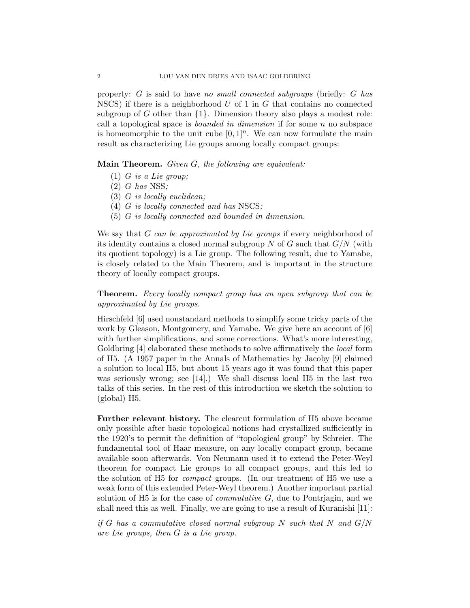property: G is said to have no small connected subgroups (briefly: G has NSCS) if there is a neighborhood  $U$  of 1 in  $G$  that contains no connected subgroup of G other than  $\{1\}$ . Dimension theory also plays a modest role: call a topological space is *bounded in dimension* if for some  $n$  no subspace is homeomorphic to the unit cube  $[0, 1]^n$ . We can now formulate the main result as characterizing Lie groups among locally compact groups:

Main Theorem. Given G, the following are equivalent:

- $(1)$  G is a Lie group;
- $(2)$  G has NSS;
- (3) G is locally euclidean;
- (4) G is locally connected and has NSCS;
- (5) G is locally connected and bounded in dimension.

We say that G can be approximated by Lie groups if every neighborhood of its identity contains a closed normal subgroup N of G such that  $G/N$  (with its quotient topology) is a Lie group. The following result, due to Yamabe, is closely related to the Main Theorem, and is important in the structure theory of locally compact groups.

Theorem. Every locally compact group has an open subgroup that can be approximated by Lie groups.

Hirschfeld [6] used nonstandard methods to simplify some tricky parts of the work by Gleason, Montgomery, and Yamabe. We give here an account of [6] with further simplifications, and some corrections. What's more interesting, Goldbring [4] elaborated these methods to solve affirmatively the *local* form of H5. (A 1957 paper in the Annals of Mathematics by Jacoby [9] claimed a solution to local H5, but about 15 years ago it was found that this paper was seriously wrong; see  $[14]$ .) We shall discuss local H5 in the last two talks of this series. In the rest of this introduction we sketch the solution to (global) H5.

Further relevant history. The clearcut formulation of H5 above became only possible after basic topological notions had crystallized sufficiently in the 1920's to permit the definition of "topological group" by Schreier. The fundamental tool of Haar measure, on any locally compact group, became available soon afterwards. Von Neumann used it to extend the Peter-Weyl theorem for compact Lie groups to all compact groups, and this led to the solution of H5 for compact groups. (In our treatment of H5 we use a weak form of this extended Peter-Weyl theorem.) Another important partial solution of H5 is for the case of *commutative G*, due to Pontrjagin, and we shall need this as well. Finally, we are going to use a result of Kuranishi [11]:

if G has a commutative closed normal subgroup N such that N and  $G/N$ are Lie groups, then G is a Lie group.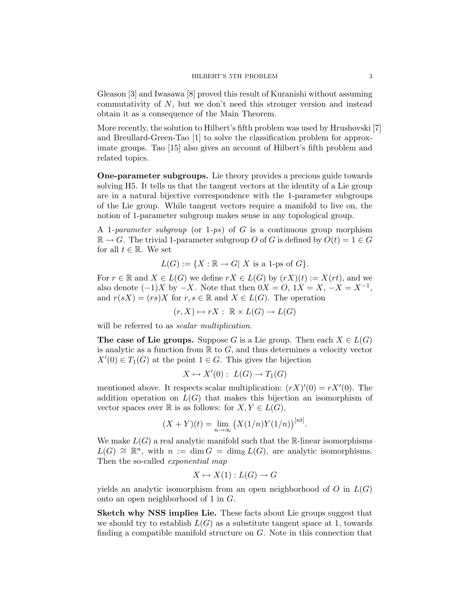Gleason [3] and Iwasawa [8] proved this result of Kuranishi without assuming commutativity of  $N$ , but we don't need this stronger version and instead obtain it as a consequence of the Main Theorem.

More recently, the solution to Hilbert's fifth problem was used by Hrushovski [7] and Breullard-Green-Tao [1] to solve the classification problem for approximate groups. Tao [15] also gives an account of Hilbert's fifth problem and related topics.

One-parameter subgroups. Lie theory provides a precious guide towards solving H5. It tells us that the tangent vectors at the identity of a Lie group are in a natural bijective correspondence with the 1-parameter subgroups of the Lie group. While tangent vectors require a manifold to live on, the notion of 1-parameter subgroup makes sense in any topological group.

A 1-parameter subgroup (or 1-ps) of G is a continuous group morphism  $\mathbb{R} \to G$ . The trivial 1-parameter subgroup O of G is defined by  $O(t) = 1 \in G$ for all  $t \in \mathbb{R}$ . We set

$$
L(G) := \{ X : \mathbb{R} \to G | X \text{ is a 1-ps of } G \}.
$$

For  $r \in \mathbb{R}$  and  $X \in L(G)$  we define  $rX \in L(G)$  by  $(rX)(t) := X(rt)$ , and we also denote  $(-1)X$  by  $-X$ . Note that then  $0X = 0$ ,  $1X = X$ ,  $-X = X^{-1}$ , and  $r(sX) = (rs)X$  for  $r, s \in \mathbb{R}$  and  $X \in L(G)$ . The operation

$$
(r, X) \mapsto rX : \mathbb{R} \times L(G) \to L(G)
$$

will be referred to as *scalar multiplication*.

**The case of Lie groups.** Suppose G is a Lie group. Then each  $X \in L(G)$ is analytic as a function from  $\mathbb R$  to  $G$ , and thus determines a velocity vector  $X'(0) \in T_1(G)$  at the point  $1 \in G$ . This gives the bijection

$$
X \mapsto X'(0): L(G) \to T_1(G)
$$

mentioned above. It respects scalar multiplication:  $(rX)'(0) = rX'(0)$ . The addition operation on  $L(G)$  that makes this bijection an isomorphism of vector spaces over R is as follows: for  $X, Y \in L(G)$ ,

$$
(X+Y)(t) = \lim_{n \to \infty} (X(1/n)Y(1/n))^{[nt]}.
$$

We make  $L(G)$  a real analytic manifold such that the R-linear isomorphisms  $L(G) \cong \mathbb{R}^n$ , with  $n := \dim G = \dim_{\mathbb{R}} L(G)$ , are analytic isomorphisms. Then the so-called exponential map

$$
X \mapsto X(1): L(G) \to G
$$

yields an analytic isomorphism from an open neighborhood of  $O$  in  $L(G)$ onto an open neighborhood of 1 in G.

Sketch why NSS implies Lie. These facts about Lie groups suggest that we should try to establish  $L(G)$  as a substitute tangent space at 1, towards finding a compatible manifold structure on G. Note in this connection that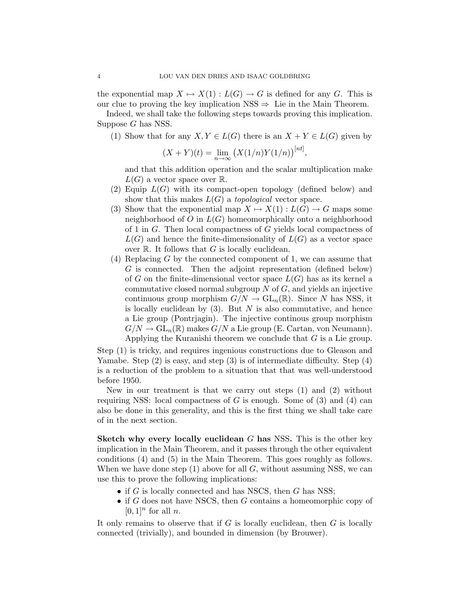the exponential map  $X \mapsto X(1) : L(G) \to G$  is defined for any G. This is our clue to proving the key implication  $NSS \Rightarrow$  Lie in the Main Theorem.

Indeed, we shall take the following steps towards proving this implication. Suppose G has NSS.

(1) Show that for any  $X, Y \in L(G)$  there is an  $X + Y \in L(G)$  given by

$$
(X + Y)(t) = \lim_{n \to \infty} (X(1/n)Y(1/n))^{[nt]},
$$

and that this addition operation and the scalar multiplication make  $L(G)$  a vector space over  $\mathbb{R}$ .

- (2) Equip  $L(G)$  with its compact-open topology (defined below) and show that this makes  $L(G)$  a topological vector space.
- (3) Show that the exponential map  $X \mapsto X(1) : L(G) \to G$  maps some neighborhood of  $O$  in  $L(G)$  homeomorphically onto a neighborhood of 1 in G. Then local compactness of G yields local compactness of  $L(G)$  and hence the finite-dimensionality of  $L(G)$  as a vector space over  $\mathbb R$ . It follows that G is locally euclidean.
- $(4)$  Replacing G by the connected component of 1, we can assume that G is connected. Then the adjoint representation (defined below) of G on the finite-dimensional vector space  $L(G)$  has as its kernel a commutative closed normal subgroup  $N$  of  $G$ , and yields an injective continuous group morphism  $G/N \to GL_n(\mathbb{R})$ . Since N has NSS, it is locally euclidean by  $(3)$ . But N is also commutative, and hence a Lie group (Pontrjagin). The injective continous group morphism  $G/N \to GL_n(\mathbb{R})$  makes  $G/N$  a Lie group (E. Cartan, von Neumann). Applying the Kuranishi theorem we conclude that G is a Lie group.

Step (1) is tricky, and requires ingenious constructions due to Gleason and Yamabe. Step (2) is easy, and step (3) is of intermediate difficulty. Step (4) is a reduction of the problem to a situation that that was well-understood before 1950.

New in our treatment is that we carry out steps (1) and (2) without requiring NSS: local compactness of  $G$  is enough. Some of  $(3)$  and  $(4)$  can also be done in this generality, and this is the first thing we shall take care of in the next section.

Sketch why every locally euclidean  $G$  has NSS. This is the other key implication in the Main Theorem, and it passes through the other equivalent conditions (4) and (5) in the Main Theorem. This goes roughly as follows. When we have done step  $(1)$  above for all G, without assuming NSS, we can use this to prove the following implications:

- if  $G$  is locally connected and has NSCS, then  $G$  has NSS;
- if  $G$  does not have NSCS, then  $G$  contains a homeomorphic copy of  $[0, 1]^n$  for all n.

It only remains to observe that if  $G$  is locally euclidean, then  $G$  is locally connected (trivially), and bounded in dimension (by Brouwer).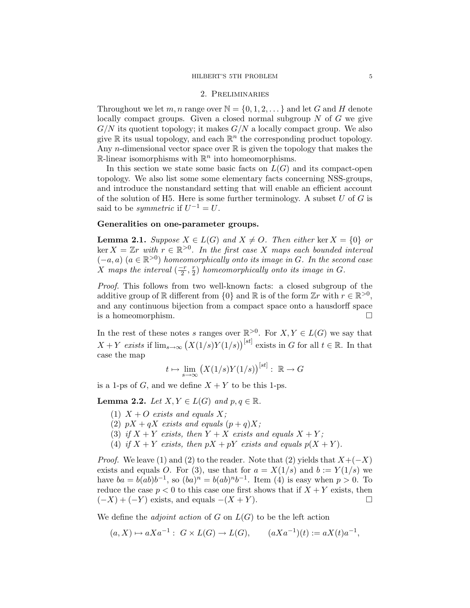### HILBERT'S 5TH PROBLEM 5

## 2. Preliminaries

Throughout we let m, n range over  $\mathbb{N} = \{0, 1, 2, \dots\}$  and let G and H denote locally compact groups. Given a closed normal subgroup  $N$  of  $G$  we give  $G/N$  its quotient topology; it makes  $G/N$  a locally compact group. We also give  $\mathbb R$  its usual topology, and each  $\mathbb R^n$  the corresponding product topology. Any *n*-dimensional vector space over  $\mathbb R$  is given the topology that makes the  $\mathbb{R}$ -linear isomorphisms with  $\mathbb{R}^n$  into homeomorphisms.

In this section we state some basic facts on  $L(G)$  and its compact-open topology. We also list some some elementary facts concerning NSS-groups, and introduce the nonstandard setting that will enable an efficient account of the solution of H5. Here is some further terminology. A subset  $U$  of  $G$  is said to be *symmetric* if  $U^{-1} = U$ .

# Generalities on one-parameter groups.

**Lemma 2.1.** Suppose  $X \in L(G)$  and  $X \neq O$ . Then either ker  $X = \{0\}$  or  $\ker X = \mathbb{Z}r$  with  $r \in \mathbb{R}^{>0}$ . In the first case X maps each bounded interval  $(-a, a)$   $(a \in \mathbb{R}^{>0})$  homeomorphically onto its image in G. In the second case X maps the interval  $\left(\frac{-r}{2}\right)$  $\frac{r}{2}$ ,  $\frac{r}{2}$  $(\frac{r}{2})$  homeomorphically onto its image in  $G$ .

Proof. This follows from two well-known facts: a closed subgroup of the additive group of R different from  $\{0\}$  and R is of the form  $\mathbb{Z}r$  with  $r \in \mathbb{R}^{>0}$ , and any continuous bijection from a compact space onto a hausdorff space is a homeomorphism.

In the rest of these notes s ranges over  $\mathbb{R}^{>0}$ . For  $X, Y \in L(G)$  we say that  $X + Y$  exists if  $\lim_{s\to\infty} (X(1/s)Y(1/s))^{[st]}$  exists in G for all  $t \in \mathbb{R}$ . In that case the map

$$
t \mapsto \lim_{s \to \infty} \left( X(1/s)Y(1/s) \right)^{[st]} : \mathbb{R} \to G
$$

is a 1-ps of G, and we define  $X + Y$  to be this 1-ps.

**Lemma 2.2.** Let  $X, Y \in L(G)$  and  $p, q \in \mathbb{R}$ .

- (1)  $X + O$  exists and equals X;
- (2)  $pX + qX$  exists and equals  $(p+q)X$ ;
- (3) if  $X + Y$  exists, then  $Y + X$  exists and equals  $X + Y$ ;
- (4) if  $X + Y$  exists, then  $pX + pY$  exists and equals  $p(X + Y)$ .

*Proof.* We leave (1) and (2) to the reader. Note that (2) yields that  $X+(-X)$ exists and equals O. For (3), use that for  $a = X(1/s)$  and  $b := Y(1/s)$  we have  $ba = b(ab)b^{-1}$ , so  $(ba)^n = b(ab)^nb^{-1}$ . Item (4) is easy when  $p > 0$ . To reduce the case  $p < 0$  to this case one first shows that if  $X + Y$  exists, then  $(-X) + (-Y)$  exists, and equals  $-(X + Y)$ .

We define the *adjoint action* of  $G$  on  $L(G)$  to be the left action

$$
(a, X) \mapsto aXa^{-1} : G \times L(G) \to L(G), \qquad (aXa^{-1})(t) := aX(t)a^{-1},
$$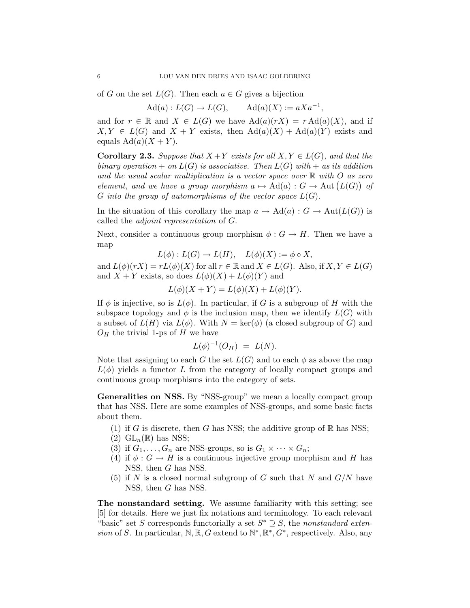of G on the set  $L(G)$ . Then each  $a \in G$  gives a bijection

 $\text{Ad}(a): L(G) \to L(G),$  $\mathrm{Ad}(a)(X) := aXa^{-1},$ 

and for  $r \in \mathbb{R}$  and  $X \in L(G)$  we have  $\text{Ad}(a)(rX) = r \text{Ad}(a)(X)$ , and if  $X, Y \in L(G)$  and  $X + Y$  exists, then  $\text{Ad}(a)(X) + \text{Ad}(a)(Y)$  exists and equals  $\text{Ad}(a)(X+Y)$ .

**Corollary 2.3.** Suppose that  $X + Y$  exists for all  $X, Y \in L(G)$ , and that the binary operation  $+$  on  $L(G)$  is associative. Then  $L(G)$  with  $+$  as its addition and the usual scalar multiplication is a vector space over  $\mathbb R$  with O as zero element, and we have a group morphism  $a \mapsto \mathrm{Ad}(a) : G \to \mathrm{Aut}(L(G))$  of G into the group of automorphisms of the vector space  $L(G)$ .

In the situation of this corollary the map  $a \mapsto \mathrm{Ad}(a) : G \to \mathrm{Aut}(L(G))$  is called the adjoint representation of G.

Next, consider a continuous group morphism  $\phi : G \to H$ . Then we have a map

$$
L(\phi): L(G) \to L(H), \quad L(\phi)(X) := \phi \circ X,
$$

and  $L(\phi)(rX) = rL(\phi)(X)$  for all  $r \in \mathbb{R}$  and  $X \in L(G)$ . Also, if  $X, Y \in L(G)$ and  $X + Y$  exists, so does  $L(\phi)(X) + L(\phi)(Y)$  and

 $L(\phi)(X + Y) = L(\phi)(X) + L(\phi)(Y).$ 

If  $\phi$  is injective, so is  $L(\phi)$ . In particular, if G is a subgroup of H with the subspace topology and  $\phi$  is the inclusion map, then we identify  $L(G)$  with a subset of  $L(H)$  via  $L(\phi)$ . With  $N = \text{ker}(\phi)$  (a closed subgroup of G) and  $O_H$  the trivial 1-ps of H we have

$$
L(\phi)^{-1}(O_H) \; = \; L(N).
$$

Note that assigning to each G the set  $L(G)$  and to each  $\phi$  as above the map  $L(\phi)$  yields a functor L from the category of locally compact groups and continuous group morphisms into the category of sets.

Generalities on NSS. By "NSS-group" we mean a locally compact group that has NSS. Here are some examples of NSS-groups, and some basic facts about them.

- (1) if G is discrete, then G has NSS; the additive group of  $\mathbb R$  has NSS;
- (2)  $GL_n(\mathbb{R})$  has NSS;
- (3) if  $G_1, \ldots, G_n$  are NSS-groups, so is  $G_1 \times \cdots \times G_n$ ;
- (4) if  $\phi : G \to H$  is a continuous injective group morphism and H has NSS, then G has NSS.
- (5) if N is a closed normal subgroup of G such that N and  $G/N$  have NSS, then G has NSS.

The nonstandard setting. We assume familiarity with this setting; see [5] for details. Here we just fix notations and terminology. To each relevant "basic" set S corresponds functorially a set  $S^* \supseteq S$ , the nonstandard extension of S. In particular,  $\mathbb{N}, \mathbb{R}, G$  extend to  $\mathbb{N}^*, \mathbb{R}^*, G^*$ , respectively. Also, any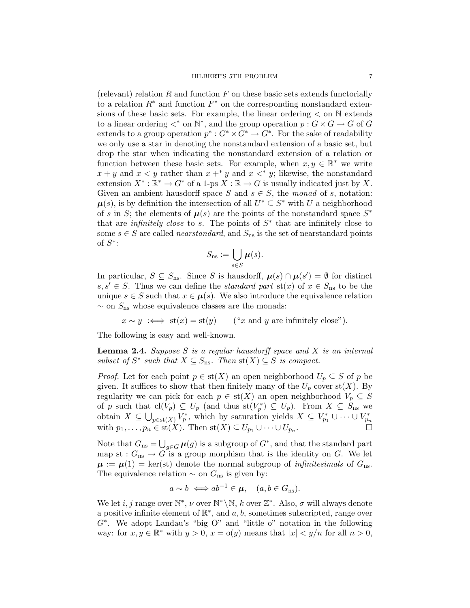(relevant) relation  $R$  and function  $F$  on these basic sets extends functorially to a relation  $R^*$  and function  $F^*$  on the corresponding nonstandard extensions of these basic sets. For example, the linear ordering  $\lt$  on  $\mathbb N$  extends to a linear ordering  $\lt^*$  on  $\mathbb{N}^*$ , and the group operation  $p: G \times G \to G$  of G extends to a group operation  $p^* : G^* \times G^* \to G^*$ . For the sake of readability we only use a star in denoting the nonstandard extension of a basic set, but drop the star when indicating the nonstandard extension of a relation or function between these basic sets. For example, when  $x, y \in \mathbb{R}^*$  we write  $x + y$  and  $x < y$  rather than  $x + y$  and  $x < y$ ; likewise, the nonstandard extension  $X^* : \mathbb{R}^* \to G^*$  of a 1-ps  $X : \mathbb{R} \to G$  is usually indicated just by X. Given an ambient hausdorff space S and  $s \in S$ , the monad of s, notation:  $\mu(s)$ , is by definition the intersection of all  $U^* \subseteq S^*$  with U a neighborhood of s in S; the elements of  $\mu(s)$  are the points of the nonstandard space  $S^*$ that are *infinitely close* to s. The points of  $S^*$  that are infinitely close to some  $s \in S$  are called *nearstandard*, and  $S_{\text{ns}}$  is the set of nearstandard points of  $S^*$ :

$$
S_{\text{ns}} := \bigcup_{s \in S} \boldsymbol{\mu}(s).
$$

In particular,  $S \subseteq S_{\text{ns}}$ . Since S is hausdorff,  $\mu(s) \cap \mu(s') = \emptyset$  for distinct  $s, s' \in S$ . Thus we can define the *standard part* st(x) of  $x \in S_{\text{ns}}$  to be the unique  $s \in S$  such that  $x \in \mu(s)$ . We also introduce the equivalence relation  $\sim$  on  $S_{\text{ns}}$  whose equivalence classes are the monads:

 $x \sim y \iff \text{st}(x) = \text{st}(y)$  ("x and y are infinitely close").

The following is easy and well-known.

**Lemma 2.4.** Suppose S is a regular hausdorff space and X is an internal subset of  $S^*$  such that  $X \subseteq S_{\text{ns}}$ . Then  $\text{st}(X) \subseteq S$  is compact.

*Proof.* Let for each point  $p \in st(X)$  an open neighborhood  $U_p \subseteq S$  of p be given. It suffices to show that then finitely many of the  $U_p$  cover  $st(X)$ . By regularity we can pick for each  $p \in st(X)$  an open neighborhood  $V_p \subseteq S$ of p such that  $\text{cl}(V_p) \subseteq U_p$  (and thus  $\text{st}(V_p^*) \subseteq U_p$ ). From  $X \subseteq \hat{S}_{\text{ns}}$  we obtain  $X \subseteq \bigcup_{p \in \text{st}(X)} V_p^*$ , which by saturation yields  $X \subseteq V_{p_1}^* \cup \cdots \cup V_{p_n}^*$ <br>with  $p_1, \ldots, p_n \in \text{st}(X)$ . Then  $\text{st}(X) \subseteq U_{p_1} \cup \cdots \cup U_{p_n}$ . with  $p_1, \ldots, p_n \in \text{st}(X)$ . Then  $\text{st}(X) \subseteq U_{p_1} \cup \cdots \cup U_{p_n}$ .

Note that  $G_{\text{ns}} = \bigcup_{g \in G} \mu(g)$  is a subgroup of  $G^*$ , and that the standard part map st :  $G_{\text{ns}} \to G$  is a group morphism that is the identity on G. We let  $\mu := \mu(1) = \text{ker}(\text{st})$  denote the normal subgroup of *infinitesimals* of  $G_{\text{ns}}$ . The equivalence relation  $\sim$  on  $G_{\text{ns}}$  is given by:

$$
a \sim b \iff ab^{-1} \in \mu
$$
,  $(a, b \in G_{\text{ns}})$ .

We let *i*, *j* range over  $\mathbb{N}^*$ , *v* over  $\mathbb{N}^* \setminus \mathbb{N}$ , *k* over  $\mathbb{Z}^*$ . Also, *σ* will always denote a positive infinite element of  $\mathbb{R}^*$ , and  $a, b$ , sometimes subscripted, range over G<sup>∗</sup> . We adopt Landau's "big O" and "little o" notation in the following way: for  $x, y \in \mathbb{R}^*$  with  $y > 0$ ,  $x = o(y)$  means that  $|x| < y/n$  for all  $n > 0$ ,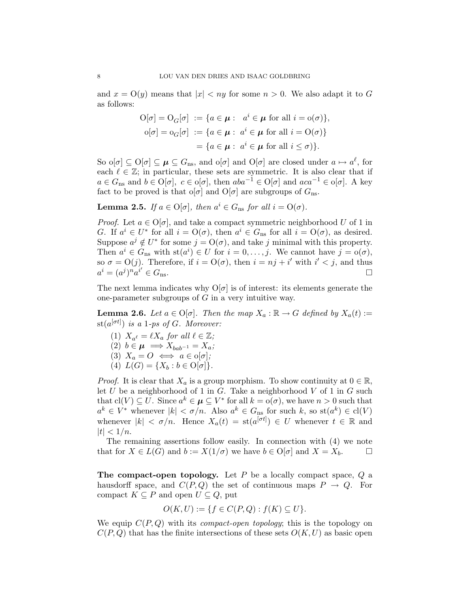and  $x = O(y)$  means that  $|x| < ny$  for some  $n > 0$ . We also adapt it to G as follows:

$$
\begin{aligned} \mathcal{O}[\sigma] &= \mathcal{O}_G[\sigma] \; := \{ a \in \mu : \; a^i \in \mu \text{ for all } i = o(\sigma) \}, \\ \mathcal{O}[\sigma] &= \mathcal{O}_G[\sigma] \; := \{ a \in \mu : \; a^i \in \mu \text{ for all } i = \mathcal{O}(\sigma) \} \\ &= \{ a \in \mu : \; a^i \in \mu \text{ for all } i \le \sigma \} \}. \end{aligned}
$$

So  $\mathrm{o}[\sigma] \subseteq \mathrm{O}[\sigma] \subseteq \mu \subseteq G_{\text{ns}}$ , and  $\mathrm{o}[\sigma]$  and  $\mathrm{O}[\sigma]$  are closed under  $a \mapsto a^{\ell}$ , for each  $\ell \in \mathbb{Z}$ ; in particular, these sets are symmetric. It is also clear that if  $a \in G_{\text{ns}}$  and  $b \in O[\sigma]$ ,  $c \in o[\sigma]$ , then  $aba^{-1} \in O[\sigma]$  and  $aca^{-1} \in o[\sigma]$ . A key fact to be proved is that o[ $\sigma$ ] and O[ $\sigma$ ] are subgroups of  $G_{\text{ns}}$ .

**Lemma 2.5.** If  $a \in O[\sigma]$ , then  $a^i \in G_{\text{ns}}$  for all  $i = O(\sigma)$ .

*Proof.* Let  $a \in O[\sigma]$ , and take a compact symmetric neighborhood U of 1 in G. If  $a^i \in U^*$  for all  $i = \mathcal{O}(\sigma)$ , then  $a^i \in G_{\text{ns}}$  for all  $i = \mathcal{O}(\sigma)$ , as desired. Suppose  $a^j \notin U^*$  for some  $j = O(\sigma)$ , and take j minimal with this property. Then  $a^i \in G_{\text{ns}}$  with  $\text{st}(a^i) \in U$  for  $i = 0, \ldots, j$ . We cannot have  $j = o(\sigma)$ , so  $\sigma = O(j)$ . Therefore, if  $i = O(\sigma)$ , then  $i = nj + i'$  with  $i' < j$ , and thus  $a^i = (a^j)^n a^{i'}$  $\in G_{\text{ns}}$ .

The next lemma indicates why  $O[\sigma]$  is of interest: its elements generate the one-parameter subgroups of  $G$  in a very intuitive way.

**Lemma 2.6.** Let  $a \in O[\sigma]$ . Then the map  $X_a : \mathbb{R} \to G$  defined by  $X_a(t) :=$  $\mathrm{st}(a^{[\sigma t]})$  is a 1-ps of G. Moreover:

- (1)  $X_{a^{\ell}} = \ell X_a$  for all  $\ell \in \mathbb{Z}$ ;
- (2)  $b \in \mu \implies X_{bab^{-1}} = X_a;$
- (3)  $X_a = O \iff a \in o[\sigma];$
- (4)  $L(G) = \{X_b : b \in O[\sigma]\}.$

*Proof.* It is clear that  $X_a$  is a group morphism. To show continuity at  $0 \in \mathbb{R}$ , let  $U$  be a neighborhood of 1 in  $G$ . Take a neighborhood  $V$  of 1 in  $G$  such that  $\text{cl}(V) \subseteq U$ . Since  $a^k \in \mu \subseteq V^*$  for all  $k = \text{o}(\sigma)$ , we have  $n > 0$  such that  $a^k \in V^*$  whenever  $|k| < \sigma/n$ . Also  $a^k \in G_{ns}$  for such  $k$ , so  $\text{st}(a^k) \in \text{cl}(V)$ whenever  $|k| < \sigma/n$ . Hence  $X_a(t) = \text{st}(a^{[\sigma t]}) \in U$  whenever  $t \in \mathbb{R}$  and  $|t| < 1/n$ .

The remaining assertions follow easily. In connection with (4) we note that for  $X \in L(G)$  and  $b := X(1/\sigma)$  we have  $b \in O[\sigma]$  and  $X = X_b$ .

The compact-open topology. Let  $P$  be a locally compact space,  $Q$  a hausdorff space, and  $C(P,Q)$  the set of continuous maps  $P \to Q$ . For compact  $K \subseteq P$  and open  $U \subseteq Q$ , put

$$
O(K, U) := \{ f \in C(P, Q) : f(K) \subseteq U \}.
$$

We equip  $C(P,Q)$  with its *compact-open topology*; this is the topology on  $C(P,Q)$  that has the finite intersections of these sets  $O(K, U)$  as basic open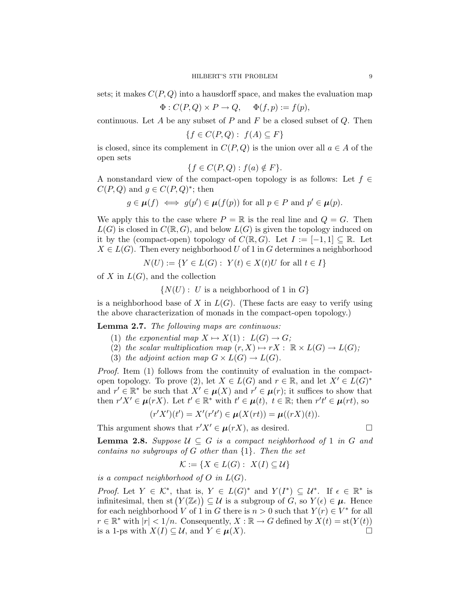sets; it makes  $C(P,Q)$  into a hausdorff space, and makes the evaluation map

$$
\Phi : C(P, Q) \times P \to Q, \quad \Phi(f, p) := f(p),
$$

continuous. Let A be any subset of P and F be a closed subset of  $Q$ . Then

$$
\{f \in C(P, Q): f(A) \subseteq F\}
$$

is closed, since its complement in  $C(P,Q)$  is the union over all  $a \in A$  of the open sets

$$
\{f \in C(P, Q) : f(a) \notin F\}.
$$

A nonstandard view of the compact-open topology is as follows: Let  $f \in$  $C(P,Q)$  and  $g \in C(P,Q)^*$ ; then

$$
g \in \mu(f) \iff g(p') \in \mu(f(p))
$$
 for all  $p \in P$  and  $p' \in \mu(p)$ .

We apply this to the case where  $P = \mathbb{R}$  is the real line and  $Q = G$ . Then  $L(G)$  is closed in  $C(\mathbb{R}, G)$ , and below  $L(G)$  is given the topology induced on it by the (compact-open) topology of  $C(\mathbb{R}, G)$ . Let  $I := [-1, 1] \subseteq \mathbb{R}$ . Let  $X \in L(G)$ . Then every neighborhood U of 1 in G determines a neighborhood

 $N(U) := \{ Y \in L(G) : Y(t) \in X(t)U \text{ for all } t \in I \}$ 

of X in  $L(G)$ , and the collection

 $\{N(U): U$  is a neighborhood of 1 in  $G\}$ 

is a neighborhood base of X in  $L(G)$ . (These facts are easy to verify using the above characterization of monads in the compact-open topology.)

Lemma 2.7. The following maps are continuous:

- (1) the exponential map  $X \mapsto X(1) : L(G) \to G;$
- (2) the scalar multiplication map  $(r, X) \mapsto rX : \mathbb{R} \times L(G) \to L(G);$
- (3) the adjoint action map  $G \times L(G) \rightarrow L(G)$ .

Proof. Item (1) follows from the continuity of evaluation in the compactopen topology. To prove (2), let  $X \in L(G)$  and  $r \in \mathbb{R}$ , and let  $X' \in L(G)^*$ and  $r' \in \mathbb{R}^*$  be such that  $X' \in \mu(X)$  and  $r' \in \mu(r)$ ; it suffices to show that then  $r'X' \in \mu(rX)$ . Let  $t' \in \mathbb{R}^*$  with  $t' \in \mu(t)$ ,  $t \in \mathbb{R}$ ; then  $r't' \in \mu(rt)$ , so

$$
(r'X')(t') = X'(r't') \in \mu(X(rt)) = \mu((rX)(t)).
$$

This argument shows that  $r'X' \in \mu(rX)$ , as desired.

**Lemma 2.8.** Suppose  $\mathcal{U} \subseteq G$  is a compact neighborhood of 1 in G and contains no subgroups of G other than  $\{1\}$ . Then the set

$$
\mathcal{K} := \{ X \in L(G) : X(I) \subseteq \mathcal{U} \}
$$

is a compact neighborhood of  $O$  in  $L(G)$ .

*Proof.* Let  $Y \in \mathcal{K}^*$ , that is,  $Y \in L(G)^*$  and  $Y(I^*) \subseteq \mathcal{U}^*$ . If  $\epsilon \in \mathbb{R}^*$  is infinitesimal, then st  $(Y(\mathbb{Z}_{\epsilon})) \subseteq \mathcal{U}$  is a subgroup of  $G$ , so  $Y(\epsilon) \in \mu$ . Hence for each neighborhood V of 1 in G there is  $n > 0$  such that  $Y(r) \in V^*$  for all  $r \in \mathbb{R}^*$  with  $|r| < 1/n$ . Consequently,  $X : \mathbb{R} \to G$  defined by  $X(t) = \text{st}(Y(t))$ is a 1-ps with  $X(I) \subseteq \mathcal{U}$ , and  $Y \in \mu(X)$ .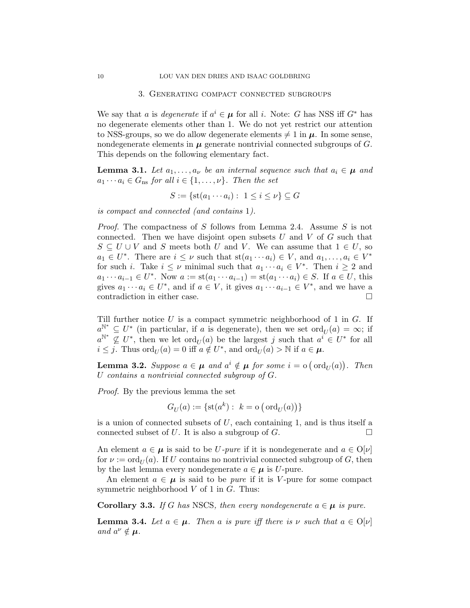#### 3. Generating compact connected subgroups

We say that a is degenerate if  $a^i \in \mu$  for all i. Note: G has NSS iff  $G^*$  has no degenerate elements other than 1. We do not yet restrict our attention to NSS-groups, so we do allow degenerate elements  $\neq 1$  in  $\mu$ . In some sense, nondegenerate elements in  $\mu$  generate nontrivial connected subgroups of  $G$ . This depends on the following elementary fact.

**Lemma 3.1.** Let  $a_1, \ldots, a_{\nu}$  be an internal sequence such that  $a_i \in \mu$  and  $a_1 \cdots a_i \in G_{\text{ns}}$  for all  $i \in \{1, \ldots, \nu\}$ . Then the set

$$
S := \{ \text{st}(a_1 \cdots a_i) : 1 \le i \le \nu \} \subseteq G
$$

is compact and connected (and contains 1).

Proof. The compactness of S follows from Lemma 2.4. Assume S is not connected. Then we have disjoint open subsets  $U$  and  $V$  of  $G$  such that  $S \subseteq U \cup V$  and S meets both U and V. We can assume that  $1 \in U$ , so  $a_1 \in U^*$ . There are  $i \leq \nu$  such that  $st(a_1 \cdots a_i) \in V$ , and  $a_1, \ldots, a_i \in V^*$ for such *i*. Take  $i \leq \nu$  minimal such that  $a_1 \cdots a_i \in V^*$ . Then  $i \geq 2$  and  $a_1 \cdots a_{i-1} \in U^*$ . Now  $a := st(a_1 \cdots a_{i-1}) = st(a_1 \cdots a_i) \in S$ . If  $a \in U$ , this gives  $a_1 \cdots a_i \in U^*$ , and if  $a \in V$ , it gives  $a_1 \cdots a_{i-1} \in V^*$ , and we have a contradiction in either case.

Till further notice  $U$  is a compact symmetric neighborhood of 1 in  $G$ . If  $a_{\text{max}}^{\mathbb{N}^*} \subseteq U^*$  (in particular, if a is degenerate), then we set  $\text{ord}_U(a) = \infty$ ; if  $a^{\mathbb{N}^*} \nsubseteq U^*$ , then we let  $\text{ord}_U(a)$  be the largest j such that  $a^i \in U^*$  for all  $i \leq j$ . Thus  $\text{ord}_U(a) = 0$  iff  $a \notin U^*$ , and  $\text{ord}_U(a) > \mathbb{N}$  if  $a \in \mu$ .

**Lemma 3.2.** Suppose  $a \in \mu$  and  $a^i \notin \mu$  for some  $i = o(\text{ord}_U(a))$ . Then U contains a nontrivial connected subgroup of G.

Proof. By the previous lemma the set

$$
G_U(a):=\{\operatorname{st}(a^k):~k=\operatorname{o}\big(\operatorname{ord}_U(a)\big)\}
$$

is a union of connected subsets of  $U$ , each containing 1, and is thus itself a connected subset of U. It is also a subgroup of G.

An element  $a \in \mu$  is said to be U-pure if it is nondegenerate and  $a \in O[\nu]$ for  $\nu := \text{ord}_{U}(a)$ . If U contains no nontrivial connected subgroup of G, then by the last lemma every nondegenerate  $a \in \mu$  is U-pure.

An element  $a \in \mu$  is said to be *pure* if it is V-pure for some compact symmetric neighborhood  $V$  of 1 in  $G$ . Thus:

**Corollary 3.3.** If G has NSCS, then every nondegenerate  $a \in \mu$  is pure.

**Lemma 3.4.** Let  $a \in \mu$ . Then a is pure iff there is v such that  $a \in O[\nu]$ and  $a^{\nu} \notin \mu$ .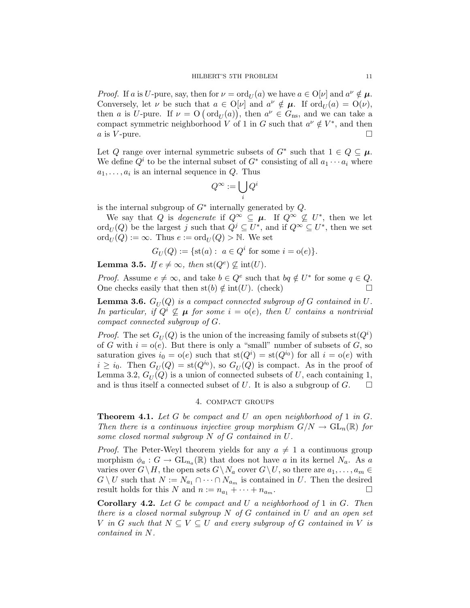*Proof.* If a is U-pure, say, then for  $\nu = \text{ord}_U(a)$  we have  $a \in \mathcal{O}[\nu]$  and  $a^{\nu} \notin \mu$ . Conversely, let  $\nu$  be such that  $a \in O[\nu]$  and  $a^{\nu} \notin \mu$ . If  $\text{ord}_U(a) = O(\nu)$ , then a is U-pure. If  $\nu = O(\text{ord}_U(a))$ , then  $a^{\nu} \in G_{\text{ns}}$ , and we can take a compact symmetric neighborhood V of 1 in G such that  $a^{\nu} \notin V^*$ , and then a is V-pure.  $\Box$ 

Let Q range over internal symmetric subsets of  $G^*$  such that  $1 \in Q \subseteq \mu$ . We define  $Q^i$  to be the internal subset of  $G^*$  consisting of all  $a_1 \cdots a_i$  where  $a_1, \ldots, a_i$  is an internal sequence in  $Q$ . Thus

$$
Q^{\infty}:=\bigcup_i Q^i
$$

is the internal subgroup of  $G^*$  internally generated by  $Q$ .

We say that Q is degenerate if  $Q^{\infty} \subseteq \mu$ . If  $Q^{\infty} \nsubseteq U^*$ , then we let  $\mathrm{ord}_U(Q)$  be the largest j such that  $Q^j \subseteq U^*$ , and if  $Q^{\infty} \subseteq U^*$ , then we set  $\mathrm{ord}_{U}(Q) := \infty$ . Thus  $e := \mathrm{ord}_{U}(Q) > \mathbb{N}$ . We set

$$
G_U(Q) := \{ \text{st}(a) : a \in Q^i \text{ for some } i = o(e) \}.
$$

**Lemma 3.5.** If  $e \neq \infty$ , then  $\text{st}(Q^e) \not\subseteq \text{int}(U)$ .

*Proof.* Assume  $e \neq \infty$ , and take  $b \in Q^e$  such that  $bq \notin U^*$  for some  $q \in Q$ . One checks easily that then st(b)  $\notin$  int(U). (check)

**Lemma 3.6.**  $G_U(Q)$  is a compact connected subgroup of  $G$  contained in  $U$ . In particular, if  $Q^i \nsubseteq \mu$  for some  $i = o(e)$ , then U contains a nontrivial compact connected subgroup of G.

*Proof.* The set  $G_U(Q)$  is the union of the increasing family of subsets  $\text{st}(Q^i)$ of G with  $i = o(e)$ . But there is only a "small" number of subsets of G, so saturation gives  $i_0 = o(e)$  such that  $st(Q^i) = st(Q^{i_0})$  for all  $i = o(e)$  with  $i \geq i_0$ . Then  $G_U(Q) = \text{st}(Q^{i_0})$ , so  $G_U(Q)$  is compact. As in the proof of Lemma 3.2,  $G_U(Q)$  is a union of connected subsets of U, each containing 1, and is thus itself a connected subset of U. It is also a subgroup of G.  $\Box$ 

## 4. compact groups

**Theorem 4.1.** Let G be compact and U an open neighborhood of 1 in  $G$ . Then there is a continuous injective group morphism  $G/N \to GL_n(\mathbb{R})$  for some closed normal subgroup N of G contained in U.

*Proof.* The Peter-Weyl theorem yields for any  $a \neq 1$  a continuous group morphism  $\phi_a: G \to \text{GL}_{n_a}(\mathbb{R})$  that does not have a in its kernel  $N_a$ . As a varies over  $G\setminus H$ , the open sets  $G\setminus N_a$  cover  $G\setminus U$ , so there are  $a_1, \ldots, a_m \in$  $G \setminus U$  such that  $N := N_{a_1} \cap \cdots \cap N_{a_m}$  is contained in U. Then the desired result holds for this N and  $n := n_{a_1} + \cdots + n_{a_m}$ .

**Corollary 4.2.** Let  $G$  be compact and  $U$  a neighborhood of 1 in  $G$ . Then there is a closed normal subgroup  $N$  of  $G$  contained in  $U$  and an open set V in G such that  $N \subseteq V \subseteq U$  and every subgroup of G contained in V is contained in N.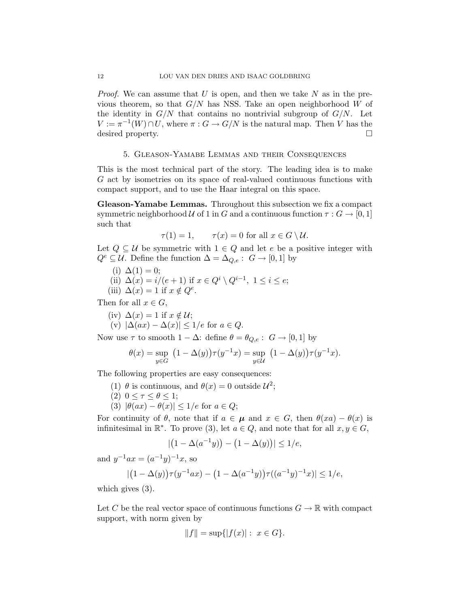*Proof.* We can assume that U is open, and then we take N as in the previous theorem, so that  $G/N$  has NSS. Take an open neighborhood W of the identity in  $G/N$  that contains no nontrivial subgroup of  $G/N$ . Let  $V := \pi^{-1}(W) \cap U$ , where  $\pi : G \to G/N$  is the natural map. Then V has the desired property.

## 5. Gleason-Yamabe Lemmas and their Consequences

This is the most technical part of the story. The leading idea is to make G act by isometries on its space of real-valued continuous functions with compact support, and to use the Haar integral on this space.

Gleason-Yamabe Lemmas. Throughout this subsection we fix a compact symmetric neighborhood U of 1 in G and a continuous function  $\tau : G \to [0, 1]$ such that

$$
\tau(1) = 1, \qquad \tau(x) = 0 \text{ for all } x \in G \setminus \mathcal{U}.
$$

Let  $Q \subseteq U$  be symmetric with  $1 \in Q$  and let e be a positive integer with  $Q^e \subseteq \mathcal{U}$ . Define the function  $\Delta = \Delta_{Q,e} : G \to [0,1]$  by

(i) 
$$
\Delta(1) = 0;
$$

- (ii)  $\Delta(x) = i/(e+1)$  if  $x \in Q^i \setminus Q^{i-1}$ ,  $1 \leq i \leq e$ ;
- (iii)  $\Delta(x) = 1$  if  $x \notin Q^e$ .

Then for all  $x \in G$ ,

- (iv)  $\Delta(x) = 1$  if  $x \notin \mathcal{U}$ ;
- (v)  $|\Delta(ax) \Delta(x)| \leq 1/e$  for  $a \in Q$ .

Now use  $\tau$  to smooth  $1 - \Delta$ : define  $\theta = \theta_{Q,e}$ :  $G \rightarrow [0,1]$  by

$$
\theta(x) = \sup_{y \in G} (1 - \Delta(y)) \tau(y^{-1}x) = \sup_{y \in \mathcal{U}} (1 - \Delta(y)) \tau(y^{-1}x).
$$

The following properties are easy consequences:

- (1)  $\theta$  is continuous, and  $\theta(x) = 0$  outside  $\mathcal{U}^2$ ;
- (2)  $0 \leq \tau \leq \theta \leq 1$ ;
- (3)  $|\theta(ax) \theta(x)| \leq 1/e$  for  $a \in Q$ ;

For continuity of  $\theta$ , note that if  $a \in \mu$  and  $x \in G$ , then  $\theta(xa) - \theta(x)$  is infinitesimal in  $\mathbb{R}^*$ . To prove (3), let  $a \in Q$ , and note that for all  $x, y \in G$ ,

$$
|(1 - \Delta(a^{-1}y)) - (1 - \Delta(y))| \le 1/e,
$$

and  $y^{-1}ax = (a^{-1}y)^{-1}x$ , so

$$
|(1 - \Delta(y))\tau(y^{-1}ax) - (1 - \Delta(a^{-1}y))\tau((a^{-1}y)^{-1}x)| \le 1/e,
$$

which gives (3).

Let C be the real vector space of continuous functions  $G \to \mathbb{R}$  with compact support, with norm given by

$$
||f|| = \sup\{|f(x)| : x \in G\}.
$$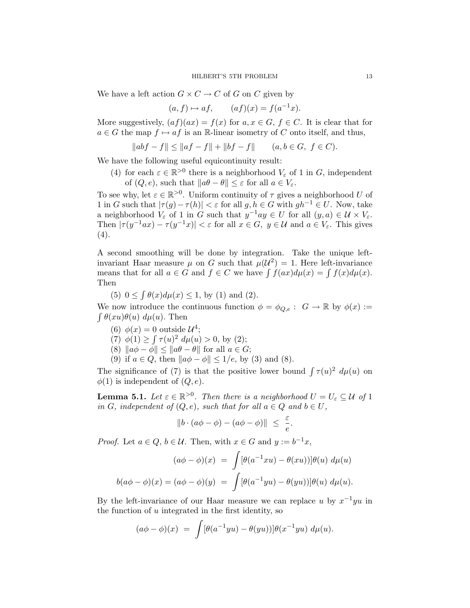We have a left action  $G \times C \to C$  of G on C given by

$$
(a, f) \mapsto af, \qquad (af)(x) = f(a^{-1}x).
$$

More suggestively,  $(af)(ax) = f(x)$  for  $a, x \in G$ ,  $f \in C$ . It is clear that for  $a \in G$  the map  $f \mapsto af$  is an R-linear isometry of C onto itself, and thus,

 $||abf - f|| \le ||af - f|| + ||bf - f||$   $(a, b \in G, f \in C).$ 

We have the following useful equicontinuity result:

(4) for each  $\varepsilon \in \mathbb{R}^{>0}$  there is a neighborhood  $V_{\varepsilon}$  of 1 in G, independent of  $(Q, e)$ , such that  $||a\theta - \theta|| \leq \varepsilon$  for all  $a \in V_{\varepsilon}$ .

To see why, let  $\varepsilon \in \mathbb{R}^{>0}$ . Uniform continuity of  $\tau$  gives a neighborhood U of 1 in G such that  $|\tau(q)-\tau(h)| < \varepsilon$  for all  $q, h \in G$  with  $gh^{-1} \in U$ . Now, take a neighborhood  $V_{\varepsilon}$  of 1 in G such that  $y^{-1}ay \in U$  for all  $(y, a) \in \mathcal{U} \times V_{\varepsilon}$ . Then  $|\tau(y^{-1}ax) - \tau(y^{-1}x)| < \varepsilon$  for all  $x \in G$ ,  $y \in \mathcal{U}$  and  $a \in V_{\varepsilon}$ . This gives  $(4).$ 

A second smoothing will be done by integration. Take the unique leftinvariant Haar measure  $\mu$  on G such that  $\mu(\mathcal{U}^2) = 1$ . Here left-invariance means that for all  $a \in G$  and  $f \in C$  we have  $\int f(ax)d\mu(x) = \int f(x)d\mu(x)$ . Then

(5)  $0 \le \int \theta(x) d\mu(x) \le 1$ , by (1) and (2).

We now introduce the continuous function  $\phi = \phi_{Q,e} : G \to \mathbb{R}$  by  $\phi(x) :=$  $\int \theta(xu)\theta(u) d\mu(u)$ . Then

- (6)  $\phi(x) = 0$  outside  $\mathcal{U}^4$ ;
- (7)  $\phi(1) \ge \int \tau(u)^2 d\mu(u) > 0$ , by (2);
- (8)  $\|\vec{a}\phi \phi\| \leq \|\vec{a}\theta \theta\|$  for all  $\vec{a} \in G$ ;
- (9) if  $a \in Q$ , then  $\|a\phi \phi\| \leq 1/e$ , by (3) and (8).

The significance of (7) is that the positive lower bound  $\int \tau(u)^2 d\mu(u)$  on  $\phi(1)$  is independent of  $(Q, e)$ .

**Lemma 5.1.** Let  $\varepsilon \in \mathbb{R}^{>0}$ . Then there is a neighborhood  $U = U_{\varepsilon} \subseteq \mathcal{U}$  of 1 in G, independent of  $(Q, e)$ , such that for all  $a \in Q$  and  $b \in U$ ,

$$
||b \cdot (a\phi - \phi) - (a\phi - \phi)|| \leq \frac{\varepsilon}{e}.
$$

*Proof.* Let  $a \in Q$ ,  $b \in \mathcal{U}$ . Then, with  $x \in G$  and  $y := b^{-1}x$ ,

$$
(a\phi - \phi)(x) = \int [\theta(a^{-1}xu) - \theta(xu))] \theta(u) d\mu(u)
$$

$$
b(a\phi - \phi)(x) = (a\phi - \phi)(y) = \int [\theta(a^{-1}yu) - \theta(yu))] \theta(u) d\mu(u).
$$

By the left-invariance of our Haar measure we can replace u by  $x^{-1}yu$  in the function of  $u$  integrated in the first identity, so

$$
(a\phi - \phi)(x) = \int [\theta(a^{-1}yu) - \theta(yu))] \theta(x^{-1}yu) d\mu(u).
$$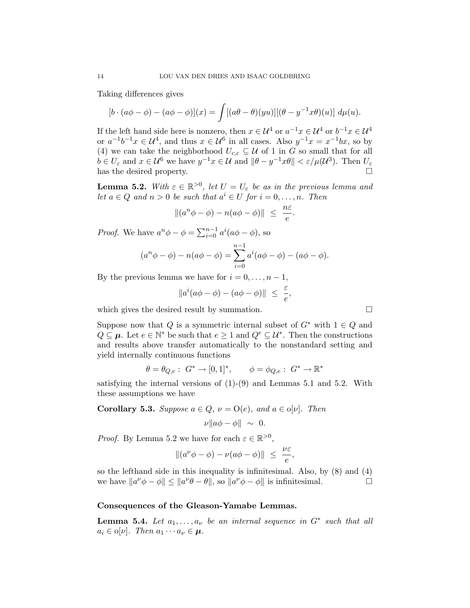Taking differences gives

$$
[b \cdot (a\phi - \phi) - (a\phi - \phi)](x) = \int [(a\theta - \theta)(yu)][(\theta - y^{-1}x\theta)(u)] d\mu(u).
$$

If the left hand side here is nonzero, then  $x \in \mathcal{U}^4$  or  $a^{-1}x \in \mathcal{U}^4$  or  $b^{-1}x \in \mathcal{U}^4$ or  $a^{-1}b^{-1}x \in \mathcal{U}^4$ , and thus  $x \in \mathcal{U}^6$  in all cases. Also  $y^{-1}x = x^{-1}bx$ , so by (4) we can take the neighborhood  $U_{c,\varepsilon} \subseteq \mathcal{U}$  of 1 in G so small that for all  $b \in U_{\varepsilon}$  and  $x \in \mathcal{U}^6$  we have  $y^{-1}x \in \mathcal{U}$  and  $\|\theta - y^{-1}x\theta\| < \varepsilon/\mu(\mathcal{U}^3)$ . Then  $U_{\varepsilon}$ has the desired property.

**Lemma 5.2.** With  $\varepsilon \in \mathbb{R}^{>0}$ , let  $U = U_{\varepsilon}$  be as in the previous lemma and let  $a \in Q$  and  $n > 0$  be such that  $a^i \in U$  for  $i = 0, \ldots, n$ . Then

$$
\|(a^n\phi - \phi) - n(a\phi - \phi)\| \le \frac{n\varepsilon}{e}.
$$

*Proof.* We have  $a^n \phi - \phi = \sum_{i=0}^{n-1} a^i (a\phi - \phi)$ , so

$$
(a^{n}\phi - \phi) - n(a\phi - \phi) = \sum_{i=0}^{n-1} a^{i}(a\phi - \phi) - (a\phi - \phi).
$$

By the previous lemma we have for  $i = 0, \ldots, n - 1$ ,

$$
||a^i(a\phi - \phi) - (a\phi - \phi)|| \leq \frac{\varepsilon}{e},
$$

which gives the desired result by summation.

Suppose now that Q is a symmetric internal subset of  $G^*$  with  $1 \in Q$  and  $Q \subseteq \mu$ . Let  $e \in \mathbb{N}^*$  be such that  $e \geq 1$  and  $Q^e \subseteq \mathcal{U}^*$ . Then the constructions and results above transfer automatically to the nonstandard setting and yield internally continuous functions

$$
\theta = \theta_{Q,e}: G^* \to [0,1]^*, \quad \phi = \phi_{Q,e}: G^* \to \mathbb{R}^*
$$

satisfying the internal versions of  $(1)-(9)$  and Lemmas 5.1 and 5.2. With these assumptions we have

**Corollary 5.3.** Suppose 
$$
a \in Q
$$
,  $\nu = O(e)$ , and  $a \in o[\nu]$ . Then  

$$
\nu ||a\phi - \phi|| \sim 0.
$$

*Proof.* By Lemma 5.2 we have for each  $\varepsilon \in \mathbb{R}^{>0}$ ,

$$
\|(a^{\nu}\phi - \phi) - \nu(a\phi - \phi)\| \leq \frac{\nu\varepsilon}{e},
$$

so the lefthand side in this inequality is infinitesimal. Also, by (8) and (4) we have  $||a^{\nu}\phi - \phi|| \le ||a^{\nu}\theta - \theta||$ , so  $||a^{\nu}\phi - \phi||$  is infinitesimal.

## Consequences of the Gleason-Yamabe Lemmas.

**Lemma 5.4.** Let  $a_1, \ldots, a_{\nu}$  be an internal sequence in  $G^*$  such that all  $a_i \in \mathfrak{o}[\nu]$ . Then  $a_1 \cdots a_\nu \in \mu$ .

$$
\Box
$$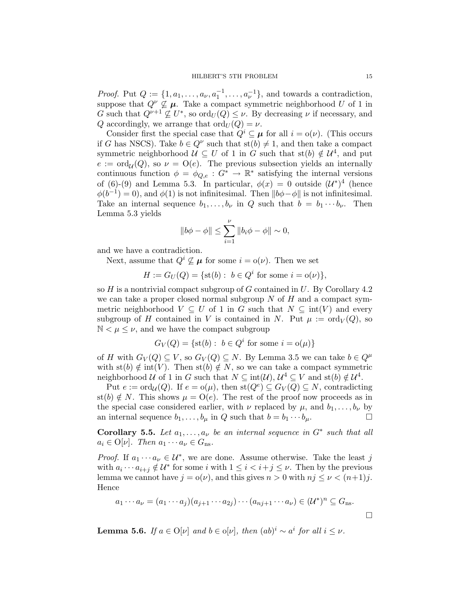*Proof.* Put  $Q := \{1, a_1, \ldots, a_{\nu}, a_1^{-1}, \ldots, a_{\nu}^{-1}\}$ , and towards a contradiction, suppose that  $Q^{\nu} \nsubseteq \mu$ . Take a compact symmetric neighborhood U of 1 in G such that  $Q^{\nu+1} \nsubseteq U^*$ , so  $\text{ord}_U(Q) \leq \nu$ . By decreasing  $\nu$  if necessary, and Q accordingly, we arrange that  $\text{ord}_U(Q) = \nu$ .

Consider first the special case that  $Q^i \subseteq \mu$  for all  $i = o(\nu)$ . (This occurs if G has NSCS). Take  $b \in Q^{\nu}$  such that  $\text{st}(b) \neq 1$ , and then take a compact symmetric neighborhood  $\mathcal{U} \subseteq U$  of 1 in G such that  $\text{st}(b) \notin \mathcal{U}^4$ , and put  $e := \text{ord}_{\mathcal{U}}(Q)$ , so  $\nu = \text{O}(e)$ . The previous subsection yields an internally continuous function  $\phi = \phi_{Q,e} : G^* \to \mathbb{R}^*$  satisfying the internal versions of (6)-(9) and Lemma 5.3. In particular,  $\phi(x) = 0$  outside  $(\mathcal{U}^*)^4$  (hence  $\phi(b^{-1}) = 0$ , and  $\phi(1)$  is not infinitesimal. Then  $||b\phi - \phi||$  is not infinitesimal. Take an internal sequence  $b_1, \ldots, b_{\nu}$  in Q such that  $b = b_1 \cdots b_{\nu}$ . Then Lemma 5.3 yields

$$
||b\phi - \phi|| \le \sum_{i=1}^{\nu} ||b_i\phi - \phi|| \sim 0,
$$

and we have a contradiction.

Next, assume that  $Q^i \nsubseteq \mu$  for some  $i = o(\nu)$ . Then we set

 $H := G_U(Q) = \{ \text{st}(b) : b \in Q^i \text{ for some } i = o(\nu) \},\$ 

so  $H$  is a nontrivial compact subgroup of  $G$  contained in  $U$ . By Corollary 4.2 we can take a proper closed normal subgroup  $N$  of  $H$  and a compact symmetric neighborhood  $V \subseteq U$  of 1 in G such that  $N \subseteq \text{int}(V)$  and every subgroup of H contained in V is contained in N. Put  $\mu := \text{ord}_V(Q)$ , so  $\mathbb{N} < \mu \leq \nu$ , and we have the compact subgroup

$$
G_V(Q) = \{ \text{st}(b) : b \in Q^i \text{ for some } i = o(\mu) \}
$$

of H with  $G_V(Q) \subseteq V$ , so  $G_V(Q) \subseteq N$ . By Lemma 3.5 we can take  $b \in Q^{\mu}$ with st(b)  $\notin$  int(V). Then st(b)  $\notin N$ , so we can take a compact symmetric neighborhood U of 1 in G such that  $N \subseteq \text{int}(\mathcal{U})$ ,  $\mathcal{U}^4 \subseteq V$  and  $\text{st}(b) \notin \mathcal{U}^4$ .

Put  $e := \text{ord}_{\mathcal{U}}(Q)$ . If  $e = o(\mu)$ , then  $\text{st}(Q^e) \subseteq G_V(Q) \subseteq N$ , contradicting st(b)  $\notin N$ . This shows  $\mu = O(e)$ . The rest of the proof now proceeds as in the special case considered earlier, with  $\nu$  replaced by  $\mu$ , and  $b_1, \ldots, b_{\nu}$  by an internal sequence  $b_1, \ldots, b_\mu$  in Q such that  $b = b_1 \cdots b_\mu$ .

Corollary 5.5. Let  $a_1, \ldots, a_{\nu}$  be an internal sequence in  $G^*$  such that all  $a_i \in \mathcal{O}[\nu]$ . Then  $a_1 \cdots a_\nu \in G_{\text{ns}}$ .

*Proof.* If  $a_1 \cdots a_{\nu} \in \mathcal{U}^*$ , we are done. Assume otherwise. Take the least j with  $a_i \cdots a_{i+j} \notin \mathcal{U}^*$  for some i with  $1 \leq i < i+j \leq \nu$ . Then by the previous lemma we cannot have  $j = o(\nu)$ , and this gives  $n > 0$  with  $nj \leq \nu < (n+1)j$ . Hence

$$
a_1 \cdots a_\nu = (a_1 \cdots a_j)(a_{j+1} \cdots a_{2j}) \cdots (a_{nj+1} \cdots a_\nu) \in (\mathcal{U}^*)^n \subseteq G_{\text{ns}}.
$$

**Lemma 5.6.** If  $a \in O[\nu]$  and  $b \in o[\nu]$ , then  $(ab)^i \sim a^i$  for all  $i \leq \nu$ .

 $\Box$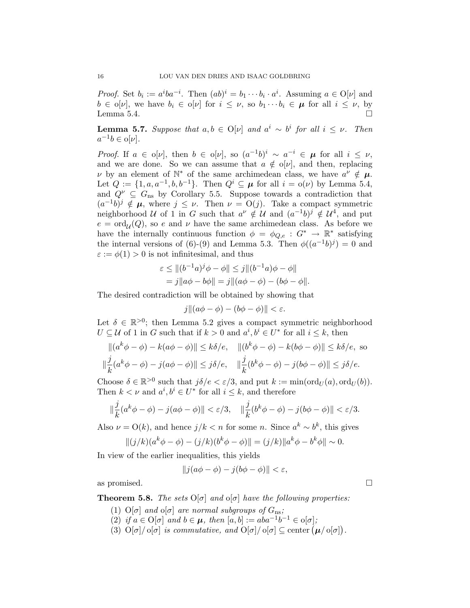*Proof.* Set  $b_i := a^i b a^{-i}$ . Then  $(ab)^i = b_1 \cdots b_i \cdot a^i$ . Assuming  $a \in O[\nu]$  and  $b \in \mathfrak{0}[\nu],$  we have  $b_i \in \mathfrak{0}[\nu]$  for  $i \leq \nu$ , so  $b_1 \cdots b_i \in \mu$  for all  $i \leq \nu$ , by Lemma 5.4.  $\Box$ 

**Lemma 5.7.** Suppose that  $a, b \in O[\nu]$  and  $a^i \sim b^i$  for all  $i \leq \nu$ . Then  $a^{-1}b \in o[\nu].$ 

Proof. If  $a \in \mathfrak{0}[v]$ , then  $b \in \mathfrak{0}[v]$ , so  $(a^{-1}b)^i \sim a^{-i} \in \mu$  for all  $i \leq v$ , and we are done. So we can assume that  $a \notin o[\nu]$ , and then, replacing v by an element of  $\mathbb{N}^*$  of the same archimedean class, we have  $a^{\nu} \notin \mu$ . Let  $Q := \{1, a, a^{-1}, b, b^{-1}\}$ . Then  $Q^i \subseteq \mu$  for all  $i = o(\nu)$  by Lemma 5.4, and  $Q^{\nu} \subseteq G_{\text{ns}}$  by Corollary 5.5. Suppose towards a contradiction that  $(a^{-1}b)^j \notin \mu$ , where  $j \leq \nu$ . Then  $\nu = O(j)$ . Take a compact symmetric neighborhood U of 1 in G such that  $a^{\nu} \notin U$  and  $(a^{-1}b)^j \notin U^4$ , and put  $e = \text{ord}_{\mathcal{U}}(Q)$ , so e and  $\nu$  have the same archimedean class. As before we have the internally continuous function  $\phi = \phi_{Q,e} : G^* \to \mathbb{R}^*$  satisfying the internal versions of (6)-(9) and Lemma 5.3. Then  $\phi((a^{-1}b)^j) = 0$  and  $\varepsilon := \phi(1) > 0$  is not infinitesimal, and thus

$$
\varepsilon \le ||(b^{-1}a)^{j}\phi - \phi|| \le j||(b^{-1}a)\phi - \phi||
$$
  
=  $j||a\phi - b\phi|| = j||(a\phi - \phi) - (b\phi - \phi||)$ .

The desired contradiction will be obtained by showing that

$$
j\|(a\phi - \phi) - (b\phi - \phi)\| < \varepsilon.
$$

Let  $\delta \in \mathbb{R}^{>0}$ ; then Lemma 5.2 gives a compact symmetric neighborhood  $U \subseteq \mathcal{U}$  of 1 in G such that if  $k > 0$  and  $a^i, b^i \in U^*$  for all  $i \leq k$ , then

$$
\|(a^k\phi - \phi) - k(a\phi - \phi)\| \le k\delta/e, \quad \|(b^k\phi - \phi) - k(b\phi - \phi)\| \le k\delta/e, \text{ so}
$$
  

$$
\|\frac{j}{k}(a^k\phi - \phi) - j(a\phi - \phi)\| \le j\delta/e, \quad \|\frac{j}{k}(b^k\phi - \phi) - j(b\phi - \phi)\| \le j\delta/e.
$$

Choose  $\delta \in \mathbb{R}^{>0}$  such that  $j\delta/e < \varepsilon/3$ , and put  $k := \min(\text{ord}_U(a), \text{ord}_U(b)).$ Then  $k < \nu$  and  $a^i, b^i \in U^*$  for all  $i \leq k$ , and therefore

$$
\|\frac{j}{k}(a^k\phi-\phi)-j(a\phi-\phi)\|<\varepsilon/3,\quad \|\frac{j}{k}(b^k\phi-\phi)-j(b\phi-\phi)\|<\varepsilon/3.
$$

Also  $\nu = O(k)$ , and hence  $j/k < n$  for some n. Since  $a^k \sim b^k$ , this gives

$$
||(j/k)(ak\phi - \phi) - (j/k)(bk\phi - \phi)|| = (j/k)||ak\phi - bk\phi|| \sim 0.
$$

In view of the earlier inequalities, this yields

 $||j(a\phi - \phi) - j(b\phi - \phi)|| < \varepsilon$ ,

as promised.  $\square$ 

**Theorem 5.8.** The sets 
$$
O[\sigma]
$$
 and  $\sigma[\sigma]$  have the following properties:

- (1)  $O[\sigma]$  and  $O[\sigma]$  are normal subgroups of  $G_{\text{ns}}$ ;
- (2) if  $a \in O[\sigma]$  and  $b \in \mu$ , then  $[a, b] := aba^{-1}b^{-1} \in o[\sigma]$ ;
- (3)  $O[\sigma]/o[\sigma]$  is commutative, and  $O[\sigma]/o[\sigma] \subseteq$  center  $(\mu/o[\sigma])$ .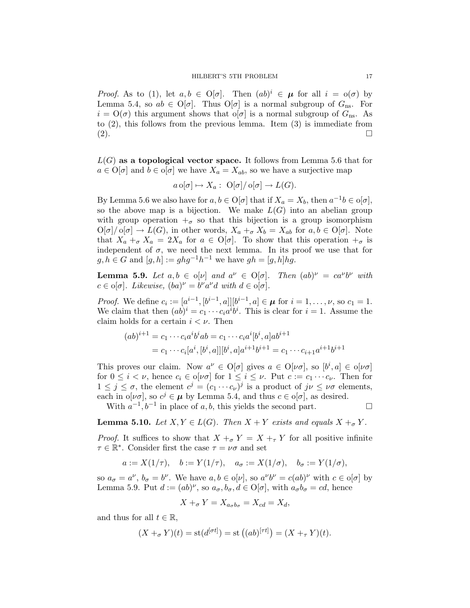*Proof.* As to (1), let  $a, b \in O[\sigma]$ . Then  $(ab)^i \in \mu$  for all  $i = o(\sigma)$  by Lemma 5.4, so  $ab \in O[\sigma]$ . Thus  $O[\sigma]$  is a normal subgroup of  $G_{\text{ns}}$ . For  $i = O(\sigma)$  this argument shows that  $o[\sigma]$  is a normal subgroup of  $G_{\text{ns}}$ . As to (2), this follows from the previous lemma. Item (3) is immediate from  $(2).$ 

 $L(G)$  as a topological vector space. It follows from Lemma 5.6 that for  $a \in O[\sigma]$  and  $b \in O[\sigma]$  we have  $X_a = X_{ab}$ , so we have a surjective map

$$
a \circ [\sigma] \mapsto X_a: \mathcal{O}[\sigma] / \mathcal{O}[\sigma] \to L(G).
$$

By Lemma 5.6 we also have for  $a, b \in O[\sigma]$  that if  $X_a = X_b$ , then  $a^{-1}b \in O[\sigma]$ , so the above map is a bijection. We make  $L(G)$  into an abelian group with group operation  $\pm_{\sigma}$  so that this bijection is a group isomorphism  $O[\sigma]/o[\sigma] \to L(G)$ , in other words,  $X_a +_{\sigma} X_b = X_{ab}$  for  $a, b \in O[\sigma]$ . Note that  $X_a +_{\sigma} X_a = 2X_a$  for  $a \in O[\sigma]$ . To show that this operation  $+_{\sigma}$  is independent of  $\sigma$ , we need the next lemma. In its proof we use that for  $g, h \in G$  and  $[g, h] := ghg^{-1}h^{-1}$  we have  $gh = [g, h]hg$ .

**Lemma 5.9.** Let  $a, b \in \mathfrak{0}[v]$  and  $a^v \in \mathfrak{O}[\sigma]$ . Then  $(ab)^v = ca^v b^v$  with  $c \in \mathfrak{o}[\sigma]$ . Likewise,  $(ba)^{\nu} = b^{\nu}a^{\nu}d$  with  $d \in \mathfrak{o}[\sigma]$ .

*Proof.* We define  $c_i := [a^{i-1}, [b^{i-1}, a]] [b^{i-1}, a] \in \mu$  for  $i = 1, ..., \nu$ , so  $c_1 = 1$ . We claim that then  $(ab)^i = c_1 \cdots c_i a^i b^i$ . This is clear for  $i = 1$ . Assume the claim holds for a certain  $i < \nu$ . Then

$$
(ab)^{i+1} = c_1 \cdots c_i a^i b^i ab = c_1 \cdots c_i a^i [b^i, a] ab^{i+1}
$$
  
=  $c_1 \cdots c_i [a^i, [b^i, a]] [b^i, a] a^{i+1} b^{i+1} = c_1 \cdots c_{i+1} a^{i+1} b^{i+1}$ 

This proves our claim. Now  $a^{\nu} \in O[\sigma]$  gives  $a \in O[\nu \sigma]$ , so  $[b^i, a] \in o[\nu \sigma]$ for  $0 \leq i < \nu$ , hence  $c_i \in o[\nu\sigma]$  for  $1 \leq i \leq \nu$ . Put  $c := c_1 \cdots c_{\nu}$ . Then for  $1 \leq j \leq \sigma$ , the element  $c^j = (c_1 \cdots c_{\nu})^j$  is a product of  $j \nu \leq \nu \sigma$  elements, each in  $\alpha[\nu\sigma]$ , so  $c^j \in \mu$  by Lemma 5.4, and thus  $c \in \alpha[\sigma]$ , as desired.

With  $a^{-1}, b^{-1}$  in place of a, b, this yields the second part.  $\square$ 

**Lemma 5.10.** Let  $X, Y \in L(G)$ . Then  $X + Y$  exists and equals  $X +_{\sigma} Y$ .

*Proof.* It suffices to show that  $X +_{\sigma} Y = X +_{\tau} Y$  for all positive infinite  $\tau \in \mathbb{R}^*$ . Consider first the case  $\tau = \nu \sigma$  and set

$$
a := X(1/\tau), \quad b := Y(1/\tau), \quad a_{\sigma} := X(1/\sigma), \quad b_{\sigma} := Y(1/\sigma),
$$

so  $a_{\sigma} = a^{\nu}$ ,  $b_{\sigma} = b^{\nu}$ . We have  $a, b \in o[\nu]$ , so  $a^{\nu}b^{\nu} = c(ab)^{\nu}$  with  $c \in o[\sigma]$  by Lemma 5.9. Put  $d := (ab)^{\nu}$ , so  $a_{\sigma}, b_{\sigma}, d \in O[\sigma]$ , with  $a_{\sigma}b_{\sigma} = cd$ , hence

$$
X +_{\sigma} Y = X_{a_{\sigma}b_{\sigma}} = X_{cd} = X_d,
$$

and thus for all  $t \in \mathbb{R}$ ,

$$
(X +_{\sigma} Y)(t) = \operatorname{st}(d^{[\sigma t]}) = \operatorname{st} ((ab)^{[\tau t]}) = (X +_{\tau} Y)(t).
$$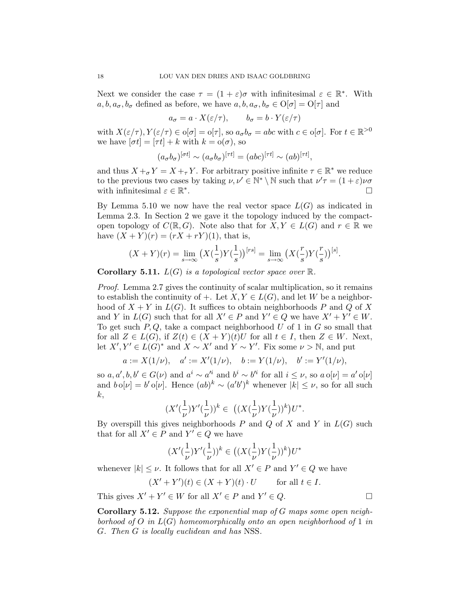Next we consider the case  $\tau = (1 + \varepsilon)\sigma$  with infinitesimal  $\varepsilon \in \mathbb{R}^*$ . With  $a, b, a_{\sigma}, b_{\sigma}$  defined as before, we have  $a, b, a_{\sigma}, b_{\sigma} \in O[\sigma] = O[\tau]$  and

$$
a_{\sigma} = a \cdot X(\varepsilon/\tau), \qquad b_{\sigma} = b \cdot Y(\varepsilon/\tau)
$$

with  $X(\varepsilon/\tau), Y(\varepsilon/\tau) \in o[\sigma] = o[\tau],$  so  $a_{\sigma}b_{\sigma} = abc$  with  $c \in o[\sigma]$ . For  $t \in \mathbb{R}^{>0}$ we have  $[\sigma t] = [\tau t] + k$  with  $k = o(\sigma)$ , so

$$
(a_{\sigma}b_{\sigma})^{[\sigma t]} \sim (a_{\sigma}b_{\sigma})^{[\tau t]} = (abc)^{[\tau t]} \sim (ab)^{[\tau t]},
$$

and thus  $X +_{\sigma} Y = X +_{\tau} Y$ . For arbitrary positive infinite  $\tau \in \mathbb{R}^*$  we reduce to the previous two cases by taking  $\nu, \nu' \in \mathbb{N}^* \setminus \mathbb{N}$  such that  $\nu' \tau = (1 + \varepsilon) \nu \sigma$ with infinitesimal  $\varepsilon \in \mathbb{R}^*$ .

By Lemma 5.10 we now have the real vector space  $L(G)$  as indicated in Lemma 2.3. In Section 2 we gave it the topology induced by the compactopen topology of  $C(\mathbb{R}, G)$ . Note also that for  $X, Y \in L(G)$  and  $r \in \mathbb{R}$  we have  $(X + Y)(r) = (rX + rY)(1)$ , that is,

$$
(X+Y)(r) = \lim_{s \to \infty} (X(\frac{1}{s})Y(\frac{1}{s}))^{[rs]} = \lim_{s \to \infty} (X(\frac{r}{s})Y(\frac{r}{s}))^{[s]}.
$$

**Corollary 5.11.**  $L(G)$  is a topological vector space over  $\mathbb{R}$ .

Proof. Lemma 2.7 gives the continuity of scalar multiplication, so it remains to establish the continuity of +. Let  $X, Y \in L(G)$ , and let W be a neighborhood of  $X + Y$  in  $L(G)$ . It suffices to obtain neighborhoods P and Q of X and Y in  $L(G)$  such that for all  $X' \in P$  and  $Y' \in Q$  we have  $X' + Y' \in W$ . To get such  $P, Q$ , take a compact neighborhood U of 1 in G so small that for all  $Z \in L(G)$ , if  $Z(t) \in (X + Y)(t)U$  for all  $t \in I$ , then  $Z \in W$ . Next, let  $X', Y' \in L(G)^*$  and  $X \sim X'$  and  $Y \sim Y'$ . Fix some  $\nu > \mathbb{N}$ , and put

$$
a:=X(1/\nu),\quad a':=X'(1/\nu),\quad b:=Y(1/\nu),\quad b':=Y'(1/\nu),
$$

so  $a, a', b, b' \in G(\nu)$  and  $a^i \sim a'^i$  and  $b^i \sim b'^i$  for all  $i \leq \nu$ , so  $a \circ [\nu] = a' \circ [\nu]$ and  $b \circ [\nu] = b' \circ [\nu]$ . Hence  $(ab)^k \sim (a'b')^k$  whenever  $|k| \leq \nu$ , so for all such  $k,$ 

$$
(X'(\frac{1}{\nu})Y'(\frac{1}{\nu}))^k\in\ \big((X(\frac{1}{\nu})Y(\frac{1}{\nu}))^k\big)U^*.
$$

By overspill this gives neighborhoods  $P$  and  $Q$  of  $X$  and  $Y$  in  $L(G)$  such that for all  $X' \in P$  and  $Y' \in Q$  we have

$$
(X'(\frac{1}{\nu})Y'(\frac{1}{\nu}))^k\in \big((X(\frac{1}{\nu})Y(\frac{1}{\nu}))^k\big)U^*
$$

whenever  $|k| \leq \nu$ . It follows that for all  $X' \in P$  and  $Y' \in Q$  we have

$$
(X' + Y')(t) \in (X + Y)(t) \cdot U \qquad \text{for all } t \in I.
$$

This gives  $X' + Y' \in W$  for all  $X' \in P$  and  $Y' \in Q$ .

Corollary 5.12. Suppose the exponential map of G maps some open neighborhood of O in  $L(G)$  homeomorphically onto an open neighborhood of 1 in G. Then G is locally euclidean and has NSS.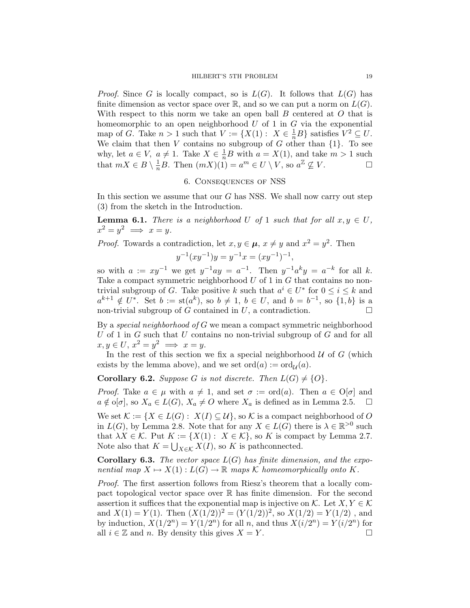*Proof.* Since G is locally compact, so is  $L(G)$ . It follows that  $L(G)$  has finite dimension as vector space over  $\mathbb{R}$ , and so we can put a norm on  $L(G)$ . With respect to this norm we take an open ball  $B$  centered at  $O$  that is homeomorphic to an open neighborhood  $U$  of 1 in  $G$  via the exponential map of G. Take  $n > 1$  such that  $V := \{X(1): X \in \frac{1}{n}B\}$  satisfies  $V^2 \subseteq U$ . We claim that then V contains no subgroup of G other than  $\{1\}$ . To see why, let  $a \in V$ ,  $a \neq 1$ . Take  $X \in \frac{1}{n}B$  with  $a = X(1)$ , and take  $m > 1$  such that  $mX \in B \setminus \frac{1}{n}B$ . Then  $(mX)(1) = a^m \in U \setminus V$ , so  $a^{\mathbb{Z}} \nsubseteq V$ .

# 6. Consequences of NSS

In this section we assume that our  $G$  has NSS. We shall now carry out step (3) from the sketch in the Introduction.

**Lemma 6.1.** There is a neighborhood U of 1 such that for all  $x, y \in U$ ,  $x^2 = y^2 \implies x = y.$ 

*Proof.* Towards a contradiction, let  $x, y \in \mu$ ,  $x \neq y$  and  $x^2 = y^2$ . Then

$$
y^{-1}(xy^{-1})y = y^{-1}x = (xy^{-1})^{-1},
$$

so with  $a := xy^{-1}$  we get  $y^{-1}ay = a^{-1}$ . Then  $y^{-1}a^ky = a^{-k}$  for all k. Take a compact symmetric neighborhood  $U$  of 1 in  $G$  that contains no nontrivial subgroup of G. Take positive k such that  $a^i \in U^*$  for  $0 \le i \le k$  and  $a^{k+1} \notin U^*$ . Set  $b := \text{st}(a^k)$ , so  $b \neq 1$ ,  $b \in U$ , and  $b = b^{-1}$ , so  $\{1, b\}$  is a non-trivial subgroup of G contained in U, a contradiction.  $\Box$ 

By a special neighborhood of  $G$  we mean a compact symmetric neighborhood U of 1 in  $G$  such that U contains no non-trivial subgroup of  $G$  and for all  $x, y \in U, x^2 = y^2 \implies x = y.$ 

In the rest of this section we fix a special neighborhood  $U$  of  $G$  (which exists by the lemma above), and we set  $\text{ord}(a) := \text{ord}_{\mathcal{U}}(a)$ .

**Corollary 6.2.** Suppose G is not discrete. Then  $L(G) \neq \{O\}$ .

*Proof.* Take  $a \in \mu$  with  $a \neq 1$ , and set  $\sigma := \text{ord}(a)$ . Then  $a \in O[\sigma]$  and  $a \notin \overline{\mathrm{o}[\sigma]}$ , so  $X_a \in L(G)$ ,  $X_a \neq O$  where  $X_a$  is defined as in Lemma 2.5.  $\Box$ 

We set  $\mathcal{K} := \{ X \in L(G) : X(I) \subseteq \mathcal{U} \}$ , so  $\mathcal{K}$  is a compact neighborhood of O in  $L(G)$ , by Lemma 2.8. Note that for any  $X \in L(G)$  there is  $\lambda \in \mathbb{R}^{>0}$  such that  $\lambda X \in \mathcal{K}$ . Put  $K := \{X(1): X \in \mathcal{K}\}\)$ , so K is compact by Lemma 2.7. Note also that  $K = \bigcup_{X \in \mathcal{K}} X(I)$ , so K is pathconnected.

**Corollary 6.3.** The vector space  $L(G)$  has finite dimension, and the exponential map  $X \mapsto X(1) : L(G) \to \mathbb{R}$  maps K homeomorphically onto K.

Proof. The first assertion follows from Riesz's theorem that a locally compact topological vector space over R has finite dimension. For the second assertion it suffices that the exponential map is injective on K. Let  $X, Y \in \mathcal{K}$ and  $X(1) = Y(1)$ . Then  $(X(1/2))^2 = (Y(1/2))^2$ , so  $X(1/2) = Y(1/2)$ , and by induction,  $X(1/2^n) = Y(1/2^n)$  for all n, and thus  $X(i/2^n) = Y(i/2^n)$  for all  $i \in \mathbb{Z}$  and n. By density this gives  $X = Y$ .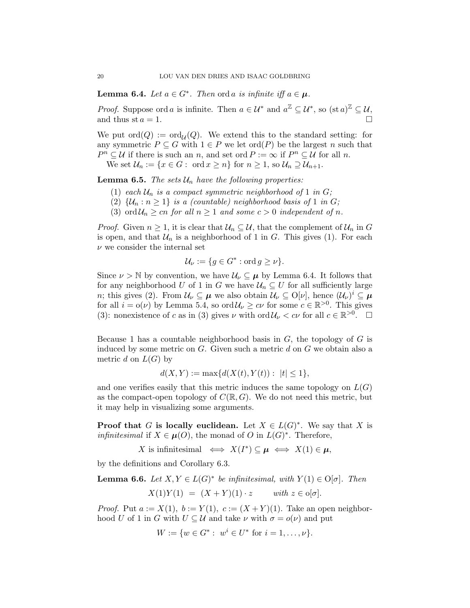**Lemma 6.4.** Let  $a \in G^*$ . Then ord a is infinite iff  $a \in \mu$ .

*Proof.* Suppose ord a is infinite. Then  $a \in \mathcal{U}^*$  and  $a^{\mathbb{Z}} \subseteq \mathcal{U}^*$ , so  $(\text{st } a)^{\mathbb{Z}} \subseteq \mathcal{U}$ , and thus st  $a = 1$ .

We put  $\text{ord}(Q) := \text{ord}_{\mathcal{U}}(Q)$ . We extend this to the standard setting: for any symmetric  $P \subseteq G$  with  $1 \in P$  we let ord $(P)$  be the largest n such that  $P^n \subseteq U$  if there is such an n, and set ord  $P := \infty$  if  $P^n \subseteq U$  for all n.

We set  $\mathcal{U}_n := \{x \in G : \text{ ord } x \geq n\}$  for  $n \geq 1$ , so  $\mathcal{U}_n \supseteq \mathcal{U}_{n+1}$ .

**Lemma 6.5.** The sets  $\mathcal{U}_n$  have the following properties:

- (1) each  $\mathcal{U}_n$  is a compact symmetric neighborhood of 1 in G;
- (2)  $\{\mathcal{U}_n : n \geq 1\}$  is a (countable) neighborhood basis of 1 in G;
- (3) ord  $\mathcal{U}_n \geq cn$  for all  $n \geq 1$  and some  $c > 0$  independent of n.

*Proof.* Given  $n \geq 1$ , it is clear that  $\mathcal{U}_n \subseteq \mathcal{U}$ , that the complement of  $\mathcal{U}_n$  in G is open, and that  $\mathcal{U}_n$  is a neighborhood of 1 in G. This gives (1). For each  $\nu$  we consider the internal set

$$
\mathcal{U}_{\nu} := \{ g \in G^* : \text{ord } g \ge \nu \}.
$$

Since  $\nu > \mathbb{N}$  by convention, we have  $\mathcal{U}_{\nu} \subseteq \mu$  by Lemma 6.4. It follows that for any neighborhood U of 1 in G we have  $\mathcal{U}_n \subseteq U$  for all sufficiently large *n*; this gives (2). From  $\mathcal{U}_{\nu} \subseteq \mu$  we also obtain  $\mathcal{U}_{\nu} \subseteq O[\nu]$ , hence  $(\mathcal{U}_{\nu})^i \subseteq \mu$ for all  $i = o(\nu)$  by Lemma 5.4, so  $\text{ord}\,\mathcal{U}_{\nu} \geq c\nu$  for some  $c \in \mathbb{R}^{>0}$ . This gives (3): nonexistence of c as in (3) gives  $\nu$  with  $\text{ord}\,\mathcal{U}_{\nu} < c\nu$  for all  $c \in \mathbb{R}^{>0}$ .  $\square$ 

Because 1 has a countable neighborhood basis in  $G$ , the topology of  $G$  is induced by some metric on  $G$ . Given such a metric  $d$  on  $G$  we obtain also a metric d on  $L(G)$  by

$$
d(X,Y) := \max\{d(X(t),Y(t)) : |t| \le 1\},\
$$

and one verifies easily that this metric induces the same topology on  $L(G)$ as the compact-open topology of  $C(\mathbb{R}, G)$ . We do not need this metric, but it may help in visualizing some arguments.

**Proof that** G is locally euclidean. Let  $X \in L(G)^*$ . We say that X is *infinitesimal* if  $X \in \mu(O)$ , the monad of O in  $L(G)^*$ . Therefore,

X is infinitesimal  $\iff X(I^*) \subseteq \mu \iff X(1) \in \mu$ ,

by the definitions and Corollary 6.3.

**Lemma 6.6.** Let 
$$
X, Y \in L(G)^*
$$
 be infinitesimal, with  $Y(1) \in O[\sigma]$ . Then  

$$
X(1)Y(1) = (X + Y)(1) \cdot z \quad \text{with } z \in o[\sigma].
$$

*Proof.* Put  $a := X(1)$ ,  $b := Y(1)$ ,  $c := (X + Y)(1)$ . Take an open neighborhood U of 1 in G with  $U \subseteq \mathcal{U}$  and take  $\nu$  with  $\sigma = o(\nu)$  and put

$$
W := \{ w \in G^* : w^i \in U^* \text{ for } i = 1, \dots, \nu \}.
$$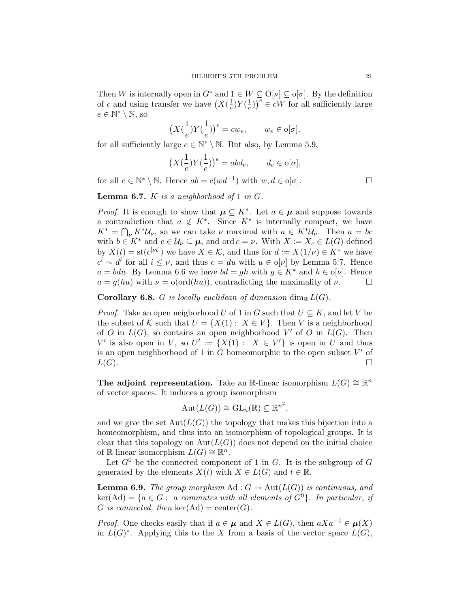Then W is internally open in  $G^*$  and  $1 \in W \subseteq O[\nu] \subseteq o[\sigma]$ . By the definition of c and using transfer we have  $(X(\frac{1}{e})$  $\frac{1}{e}$ )Y( $\frac{1}{e}$  $(\frac{1}{e})^{\overline{e}} \in \overline{cW}$  for all sufficiently large  $e \in \mathbb{N}^* \setminus \mathbb{N}$ , so

$$
\left(X(\frac{1}{e})Y(\frac{1}{e})\right)^e = cw_e, \qquad w_e \in \text{o}[\sigma],
$$

for all sufficiently large  $e \in \mathbb{N}^* \setminus \mathbb{N}$ . But also, by Lemma 5.9,

$$
\left(X(\frac{1}{e})Y(\frac{1}{e})\right)^e = abd_e, \qquad d_e \in \text{o}[\sigma],
$$

for all  $e \in \mathbb{N}^* \setminus \mathbb{N}$ . Hence  $ab = c(wd^{-1})$  with  $w, d \in o[\sigma]$ .

**Lemma 6.7.** K is a neighborhood of 1 in  $G$ .

*Proof.* It is enough to show that  $\mu \subseteq K^*$ . Let  $a \in \mu$  and suppose towards a contradiction that  $a \notin K^*$ . Since  $K^*$  is internally compact, we have  $K^* = \bigcap_{\nu} K^* \mathcal{U}_{\nu}$ , so we can take  $\nu$  maximal with  $a \in K^* \mathcal{U}_{\nu}$ . Then  $a = bc$ with  $b \in K^*$  and  $c \in \mathcal{U}_\nu \subseteq \mu$ , and ord  $c = \nu$ . With  $X := X_c \in L(G)$  defined by  $X(t) = \text{st}(c^{[\nu t]})$  we have  $X \in \mathcal{K}$ , and thus for  $d := X(1/\nu) \in K^*$  we have  $c^i \sim d^i$  for all  $i \leq \nu$ , and thus  $c = du$  with  $u \in o[\nu]$  by Lemma 5.7. Hence  $a = bdu$ . By Lemma 6.6 we have  $bd = gh$  with  $g \in K^*$  and  $h \in o[\nu]$ . Hence  $a = g(hu)$  with  $\nu = o(ord(hu))$ , contradicting the maximality of  $\nu$ .

**Corollary 6.8.** G is locally euclidean of dimension dim<sub>R</sub>  $L(G)$ .

*Proof.* Take an open neigborhood U of 1 in G such that  $U \subseteq K$ , and let V be the subset of K such that  $U = \{X(1): X \in V\}$ . Then V is a neighborhood of O in  $L(G)$ , so contains an open neighborhood V' of O in  $L(G)$ . Then V' is also open in V, so  $U' := \{X(1) : X \in V'\}$  is open in U and thus is an open neighborhood of 1 in  $\tilde{G}$  homeomorphic to the open subset  $V'$  of  $L(G)$ .

The adjoint representation. Take an R-linear isomorphism  $L(G) \cong \mathbb{R}^n$ of vector spaces. It induces a group isomorphism

$$
Aut(L(G)) \cong GL_n(\mathbb{R}) \subseteq \mathbb{R}^{n^2},
$$

and we give the set  $Aut(L(G))$  the topology that makes this bijection into a homeomorphism, and thus into an isomorphism of topological groups. It is clear that this topology on  $Aut(L(G))$  does not depend on the initial choice of R-linear isomorphism  $L(G) \cong \mathbb{R}^n$ .

Let  $G^0$  be the connected component of 1 in G. It is the subgroup of G generated by the elements  $X(t)$  with  $X \in L(G)$  and  $t \in \mathbb{R}$ .

**Lemma 6.9.** The group morphism  $\mathrm{Ad}: G \to \mathrm{Aut}(L(G))$  is continuous, and  $\ker(\mathrm{Ad}) = \{a \in G: a \text{ commutes with all elements of } G^0\}.$  In particular, if G is connected, then  $\ker(\mathrm{Ad}) = \mathrm{center}(G)$ .

*Proof.* One checks easily that if  $a \in \mu$  and  $X \in L(G)$ , then  $aXa^{-1} \in \mu(X)$ in  $L(G)^*$ . Applying this to the X from a basis of the vector space  $L(G)$ ,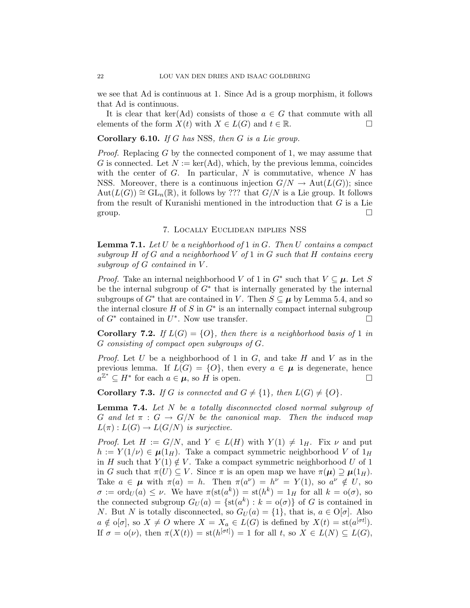we see that Ad is continuous at 1. Since Ad is a group morphism, it follows that Ad is continuous.

It is clear that ker(Ad) consists of those  $a \in G$  that commute with all elements of the form  $X(t)$  with  $X \in L(G)$  and  $t \in \mathbb{R}$ .

**Corollary 6.10.** If G has NSS, then G is a Lie group.

*Proof.* Replacing G by the connected component of 1, we may assume that G is connected. Let  $N := \text{ker}(Ad)$ , which, by the previous lemma, coincides with the center of  $G$ . In particular,  $N$  is commutative, whence  $N$  has NSS. Moreover, there is a continuous injection  $G/N \to \text{Aut}(L(G))$ ; since  $Aut(L(G)) \cong GL_n(\mathbb{R})$ , it follows by ??? that  $G/N$  is a Lie group. It follows from the result of Kuranishi mentioned in the introduction that  $G$  is a Lie group.  $\square$ 

### 7. Locally Euclidean implies NSS

**Lemma 7.1.** Let U be a neighborhood of 1 in G. Then U contains a compact subgroup  $H$  of  $G$  and a neighborhood  $V$  of  $1$  in  $G$  such that  $H$  contains every subgroup of G contained in V.

*Proof.* Take an internal neighborhood V of 1 in  $G^*$  such that  $V \subseteq \mu$ . Let S be the internal subgroup of  $G^*$  that is internally generated by the internal subgroups of  $G^*$  that are contained in V. Then  $S \subseteq \mu$  by Lemma 5.4, and so the internal closure  $H$  of  $S$  in  $G^*$  is an internally compact internal subgroup of  $G^*$  contained in  $U^*$ . Now use transfer.

**Corollary 7.2.** If  $L(G) = \{O\}$ , then there is a neighborhood basis of 1 in G consisting of compact open subgroups of G.

*Proof.* Let U be a neighborhood of 1 in  $G$ , and take H and V as in the previous lemma. If  $L(G) = \{O\}$ , then every  $a \in \mu$  is degenerate, hence  $a^{\mathbb{Z}^*} \subseteq H^*$  for each  $a \in \mu$ , so H is open.

**Corollary 7.3.** If G is connected and  $G \neq \{1\}$ , then  $L(G) \neq \{0\}$ .

Lemma 7.4. Let N be a totally disconnected closed normal subgroup of G and let  $\pi : G \to G/N$  be the canonical map. Then the induced map  $L(\pi): L(G) \to L(G/N)$  is surjective.

*Proof.* Let  $H := G/N$ , and  $Y \in L(H)$  with  $Y(1) \neq 1_H$ . Fix  $\nu$  and put  $h := Y(1/\nu) \in \mu(1_H)$ . Take a compact symmetric neighborhood V of  $1_H$ in H such that  $Y(1) \notin V$ . Take a compact symmetric neighborhood U of 1 in G such that  $\pi(U) \subseteq V$ . Since  $\pi$  is an open map we have  $\pi(\mu) \supseteq \mu(1_H)$ . Take  $a \in \mu$  with  $\pi(a) = h$ . Then  $\pi(a^{\nu}) = h^{\nu} = Y(1)$ , so  $a^{\nu} \notin U$ , so  $\sigma := \text{ord}_U(a) \leq \nu$ . We have  $\pi(\text{st}(a^k)) = \text{st}(h^k) = 1_H$  for all  $k = o(\sigma)$ , so the connected subgroup  $G_U(a) = \{st(a^k) : k = o(\sigma)\}\$ of G is contained in N. But N is totally disconnected, so  $G_U(a) = \{1\}$ , that is,  $a \in O[\sigma]$ . Also  $a \notin o[\sigma]$ , so  $X \neq O$  where  $X = X_a \in L(G)$  is defined by  $X(t) = \text{st}(a^{[\sigma t]})$ . If  $\sigma = o(\nu)$ , then  $\pi(X(t)) = \text{st}(h^{[\sigma t]}) = 1$  for all t, so  $X \in L(N) \subseteq L(G)$ ,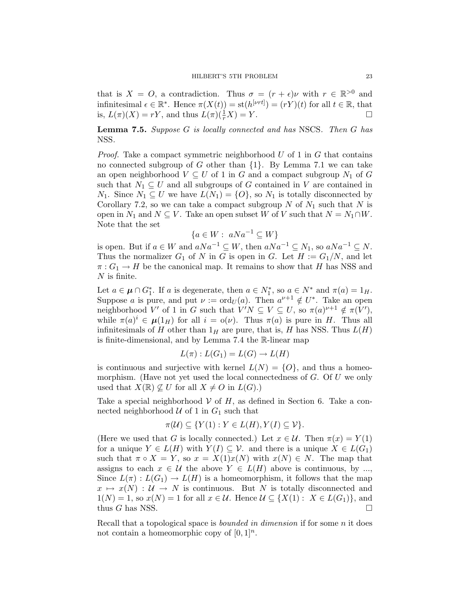that is  $X = O$ , a contradiction. Thus  $\sigma = (r + \epsilon)\nu$  with  $r \in \mathbb{R}^{>0}$  and infinitesimal  $\epsilon \in \mathbb{R}^*$ . Hence  $\pi(X(t)) = \text{st}(h^{[\nu \tau t]}) = (rY)(t)$  for all  $t \in \mathbb{R}$ , that is,  $L(\pi)(X) = rY$ , and thus  $L(\pi)(\frac{1}{r}X) = Y$ .

Lemma 7.5. Suppose G is locally connected and has NSCS. Then G has NSS.

*Proof.* Take a compact symmetric neighborhood  $U$  of 1 in  $G$  that contains no connected subgroup of G other than  $\{1\}$ . By Lemma 7.1 we can take an open neighborhood  $V \subseteq U$  of 1 in G and a compact subgroup  $N_1$  of G such that  $N_1 \subseteq U$  and all subgroups of G contained in V are contained in  $N_1$ . Since  $N_1 \subseteq U$  we have  $L(N_1) = \{O\}$ , so  $N_1$  is totally disconnected by Corollary 7.2, so we can take a compact subgroup  $N$  of  $N_1$  such that  $N$  is open in  $N_1$  and  $N \subseteq V$ . Take an open subset W of V such that  $N = N_1 \cap W$ . Note that the set

$$
\{a \in W : aNa^{-1} \subseteq W\}
$$

is open. But if  $a \in W$  and  $aNa^{-1} \subseteq W$ , then  $aNa^{-1} \subseteq N_1$ , so  $aNa^{-1} \subseteq N$ . Thus the normalizer  $G_1$  of N in G is open in G. Let  $H := G_1/N$ , and let  $\pi: G_1 \to H$  be the canonical map. It remains to show that H has NSS and  $N$  is finite.

Let  $a \in \mu \cap G_1^*$ . If a is degenerate, then  $a \in N_1^*$ , so  $a \in N^*$  and  $\pi(a) = 1_H$ . Suppose a is pure, and put  $\nu := \text{ord}_U(a)$ . Then  $a^{\nu+1} \notin U^*$ . Take an open neighborhood V' of 1 in G such that  $V'N \subseteq V \subseteq U$ , so  $\pi(a)^{\nu+1} \notin \pi(V')$ , while  $\pi(a)^i \in \mu(1_H)$  for all  $i = o(\nu)$ . Thus  $\pi(a)$  is pure in H. Thus all infinitesimals of H other than  $1_H$  are pure, that is, H has NSS. Thus  $L(H)$ is finite-dimensional, and by Lemma 7.4 the R-linear map

$$
L(\pi): L(G_1) = L(G) \to L(H)
$$

is continuous and surjective with kernel  $L(N) = \{O\}$ , and thus a homeomorphism. (Have not yet used the local connectedness of  $G$ . Of  $U$  we only used that  $X(\mathbb{R}) \not\subseteq U$  for all  $X \neq O$  in  $L(G)$ .)

Take a special neighborhood  $V$  of  $H$ , as defined in Section 6. Take a connected neighborhood  $\mathcal U$  of 1 in  $G_1$  such that

$$
\pi(\mathcal{U}) \subseteq \{ Y(1) : Y \in L(H), Y(I) \subseteq \mathcal{V} \}.
$$

(Here we used that G is locally connected.) Let  $x \in \mathcal{U}$ . Then  $\pi(x) = Y(1)$ for a unique  $Y \in L(H)$  with  $Y(I) \subseteq V$ . and there is a unique  $X \in L(G_1)$ such that  $\pi \circ X = Y$ , so  $x = X(1)x(N)$  with  $x(N) \in N$ . The map that assigns to each  $x \in \mathcal{U}$  the above  $Y \in L(H)$  above is continuous, by ..., Since  $L(\pi): L(G_1) \to L(H)$  is a homeomorphism, it follows that the map  $x \mapsto x(N) : U \to N$  is continuous. But N is totally disconnected and  $1(N) = 1$ , so  $x(N) = 1$  for all  $x \in \mathcal{U}$ . Hence  $\mathcal{U} \subseteq \{X(1): X \in L(G_1)\}\)$ , and thus G has NSS.  $\Box$ 

Recall that a topological space is *bounded in dimension* if for some  $n$  it does not contain a homeomorphic copy of  $[0, 1]^n$ .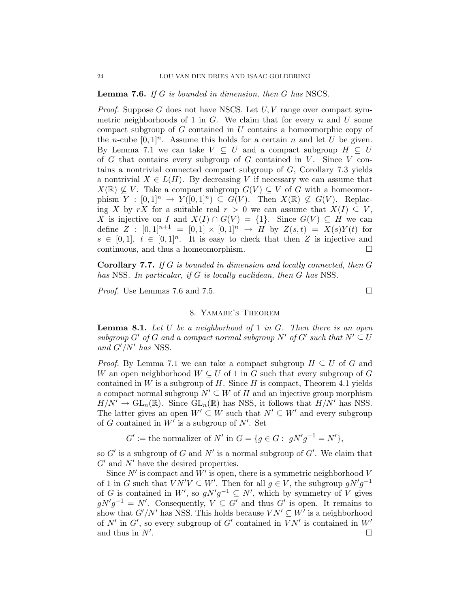Lemma 7.6. If G is bounded in dimension, then G has NSCS.

*Proof.* Suppose G does not have NSCS. Let  $U, V$  range over compact symmetric neighborhoods of 1 in  $G$ . We claim that for every n and U some compact subgroup of G contained in U contains a homeomorphic copy of the *n*-cube  $[0,1]^n$ . Assume this holds for a certain *n* and let *U* be given. By Lemma 7.1 we can take  $V \subseteq U$  and a compact subgroup  $H \subseteq U$ of  $G$  that contains every subgroup of  $G$  contained in  $V$ . Since  $V$  contains a nontrivial connected compact subgroup of G, Corollary 7.3 yields a nontrivial  $X \in L(H)$ . By decreasing V if necessary we can assume that  $X(\mathbb{R}) \nsubseteq V$ . Take a compact subgroup  $G(V) \subseteq V$  of G with a homeomorphism  $Y : [0,1]^n \to Y([0,1]^n) \subseteq G(V)$ . Then  $X(\mathbb{R}) \not\subseteq G(V)$ . Replacing X by rX for a suitable real  $r > 0$  we can assume that  $X(I) \subseteq V$ , X is injective on I and  $X(I) \cap G(V) = \{1\}$ . Since  $G(V) \subseteq H$  we can define  $Z : [0,1]^{n+1} = [0,1] \times [0,1]^{n} \rightarrow H$  by  $Z(s,t) = X(s)Y(t)$  for  $s \in [0,1], t \in [0,1]^n$ . It is easy to check that then Z is injective and continuous, and thus a homeomorphism.

Corollary 7.7. If G is bounded in dimension and locally connected, then G has NSS. In particular, if G is locally euclidean, then G has NSS.

*Proof.* Use Lemmas 7.6 and 7.5.  $\Box$ 

# 8. Yamabe's Theorem

**Lemma 8.1.** Let U be a neighborhood of 1 in G. Then there is an open subgroup G' of G and a compact normal subgroup  $N'$  of G' such that  $N' \subseteq U$ and  $G'/N'$  has NSS.

*Proof.* By Lemma 7.1 we can take a compact subgroup  $H \subseteq U$  of G and W an open neighborhood  $W \subseteq U$  of 1 in G such that every subgroup of G contained in  $W$  is a subgroup of  $H$ . Since  $H$  is compact, Theorem 4.1 yields a compact normal subgroup  $N' \subseteq W$  of H and an injective group morphism  $H/N' \to GL_n(\mathbb{R})$ . Since  $GL_n(\mathbb{R})$  has NSS, it follows that  $H/N'$  has NSS. The latter gives an open  $W' \subseteq W$  such that  $N' \subseteq W'$  and every subgroup of G contained in  $W'$  is a subgroup of  $N'$ . Set

 $G' :=$  the normalizer of  $N'$  in  $G = \{ g \in G : gN'g^{-1} = N' \},\$ 

so  $G'$  is a subgroup of G and N' is a normal subgroup of  $G'$ . We claim that  $G'$  and  $N'$  have the desired properties.

Since  $N'$  is compact and  $W'$  is open, there is a symmetric neighborhood V of 1 in G such that  $VN'V \subseteq W'$ . Then for all  $g \in V$ , the subgroup  $gN'g^{-1}$ of G is contained in W', so  $g N' g^{-1} \subseteq N'$ , which by symmetry of V gives  $gN'g^{-1} = N'$ . Consequently,  $V \subseteq G'$  and thus  $G'$  is open. It remains to show that  $G'/N'$  has NSS. This holds because  $VN' \subseteq W'$  is a neighborhood of  $N'$  in  $G'$ , so every subgroup of  $G'$  contained in  $VN'$  is contained in  $W'$ and thus in  $N'$ . .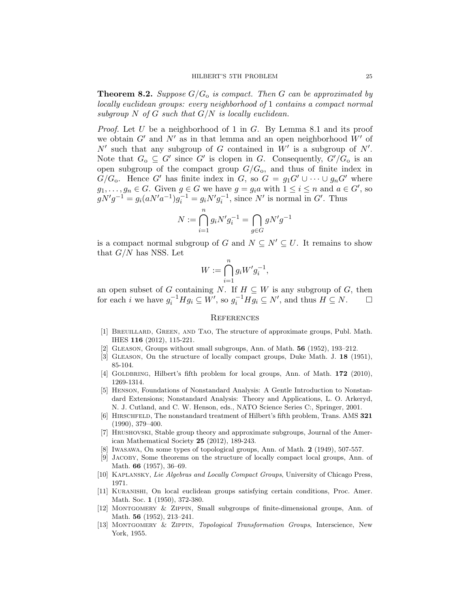**Theorem 8.2.** Suppose  $G/G<sub>o</sub>$  is compact. Then G can be approximated by locally euclidean groups: every neighborhood of 1 contains a compact normal subgroup N of G such that  $G/N$  is locally euclidean.

*Proof.* Let U be a neighborhood of 1 in G. By Lemma 8.1 and its proof we obtain  $G'$  and  $N'$  as in that lemma and an open neighborhood  $W'$  of  $N'$  such that any subgroup of G contained in  $W'$  is a subgroup of  $N'$ . Note that  $G_0 \subseteq G'$  since G' is clopen in G. Consequently,  $G'/G_0$  is an open subgroup of the compact group  $G/G<sub>0</sub>$ , and thus of finite index in  $G/G_0$ . Hence G' has finite index in G, so  $G = g_1G' \cup \cdots \cup g_nG'$  where  $g_1, \ldots, g_n \in G$ . Given  $g \in G$  we have  $g = g_i a$  with  $1 \leq i \leq n$  and  $a \in G'$ , so  $gN'g^{-1} = g_i(aN'a^{-1})g_i^{-1} = g_iN'g_i^{-1}$ , since N' is normal in G'. Thus

$$
N := \bigcap_{i=1}^{n} g_i N' g_i^{-1} = \bigcap_{g \in G} g N' g^{-1}
$$

is a compact normal subgroup of G and  $N \subseteq N' \subseteq U$ . It remains to show that  $G/N$  has NSS. Let

$$
W:=\bigcap_{i=1}^n g_i W' g_i^{-1},
$$

an open subset of G containing N. If  $H \subseteq W$  is any subgroup of G, then for each i we have  $g_i^{-1}Hg_i \subseteq W'$ , so  $g_i^{-1}Hg_i \subseteq N'$ , and thus  $H \subseteq N$ .  $\Box$ 

#### **REFERENCES**

- [1] BREUILLARD, GREEN, AND TAO, The structure of approximate groups, Publ. Math. IHES 116 (2012), 115-221.
- [2] Gleason, Groups without small subgroups, Ann. of Math. 56 (1952), 193–212.
- [3] GLEASON, On the structure of locally compact groups, Duke Math. J. 18 (1951), 85-104.
- [4] GOLDBRING, Hilbert's fifth problem for local groups, Ann. of Math. 172 (2010), 1269-1314.
- [5] Henson, Foundations of Nonstandard Analysis: A Gentle Introduction to Nonstandard Extensions; Nonstandard Analysis: Theory and Applications, L. O. Arkeryd, N. J. Cutland, and C. W. Henson, eds., NATO Science Series C:, Springer, 2001.
- [6] Hirschfeld, The nonstandard treatment of Hilbert's fifth problem, Trans. AMS 321 (1990), 379–400.
- [7] Hrushovski, Stable group theory and approximate subgroups, Journal of the American Mathematical Society 25 (2012), 189-243.
- [8] Iwasawa, On some types of topological groups, Ann. of Math. 2 (1949), 507-557.
- [9] Jacoby, Some theorems on the structure of locally compact local groups, Ann. of Math. 66 (1957), 36–69.
- [10] Kaplansky, Lie Algebras and Locally Compact Groups, University of Chicago Press, 1971.
- [11] Kuranishi, On local euclidean groups satisfying certain conditions, Proc. Amer. Math. Soc. 1 (1950), 372-380.
- [12] Montgomery & Zippin, Small subgroups of finite-dimensional groups, Ann. of Math. 56 (1952), 213–241.
- [13] Montgomery & Zippin, Topological Transformation Groups, Interscience, New York, 1955.